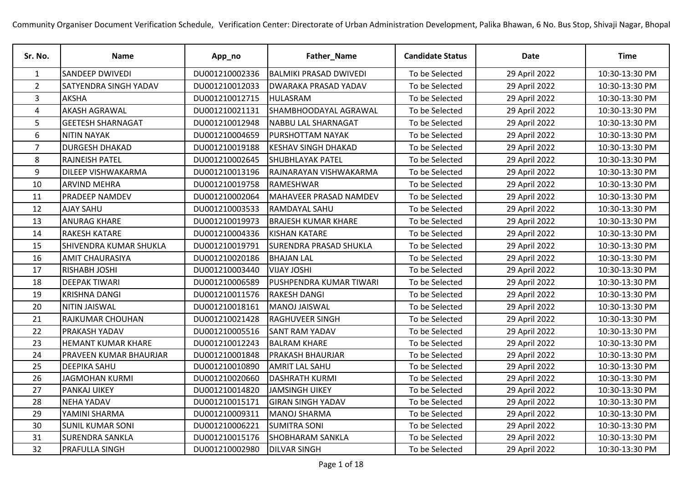| Sr. No.        | <b>Name</b>               | App_no         | Father_Name                   | <b>Candidate Status</b> | <b>Date</b>   | <b>Time</b>    |
|----------------|---------------------------|----------------|-------------------------------|-------------------------|---------------|----------------|
| 1              | <b>SANDEEP DWIVEDI</b>    | DU001210002336 | <b>BALMIKI PRASAD DWIVEDI</b> | To be Selected          | 29 April 2022 | 10:30-13:30 PM |
| $\overline{2}$ | SATYENDRA SINGH YADAV     | DU001210012033 | <b>DWARAKA PRASAD YADAV</b>   | To be Selected          | 29 April 2022 | 10:30-13:30 PM |
| 3              | <b>AKSHA</b>              | DU001210012715 | <b>HULASRAM</b>               | To be Selected          | 29 April 2022 | 10:30-13:30 PM |
| 4              | <b>AKASH AGRAWAL</b>      | DU001210021131 | SHAMBHOODAYAL AGRAWAL         | To be Selected          | 29 April 2022 | 10:30-13:30 PM |
| 5              | <b>GEETESH SHARNAGAT</b>  | DU001210012948 | <b>NABBU LAL SHARNAGAT</b>    | To be Selected          | 29 April 2022 | 10:30-13:30 PM |
| 6              | <b>NITIN NAYAK</b>        | DU001210004659 | <b>PURSHOTTAM NAYAK</b>       | To be Selected          | 29 April 2022 | 10:30-13:30 PM |
| $\overline{7}$ | <b>DURGESH DHAKAD</b>     | DU001210019188 | <b>KESHAV SINGH DHAKAD</b>    | To be Selected          | 29 April 2022 | 10:30-13:30 PM |
| 8              | RAJNEISH PATEL            | DU001210002645 | <b>SHUBHLAYAK PATEL</b>       | To be Selected          | 29 April 2022 | 10:30-13:30 PM |
| 9              | DILEEP VISHWAKARMA        | DU001210013196 | RAJNARAYAN VISHWAKARMA        | To be Selected          | 29 April 2022 | 10:30-13:30 PM |
| 10             | <b>ARVIND MEHRA</b>       | DU001210019758 | RAMESHWAR                     | To be Selected          | 29 April 2022 | 10:30-13:30 PM |
| 11             | <b>PRADEEP NAMDEV</b>     | DU001210002064 | MAHAVEER PRASAD NAMDEV        | To be Selected          | 29 April 2022 | 10:30-13:30 PM |
| 12             | AJAY SAHU                 | DU001210003533 | <b>RAMDAYAL SAHU</b>          | To be Selected          | 29 April 2022 | 10:30-13:30 PM |
| 13             | <b>ANURAG KHARE</b>       | DU001210019973 | <b>BRAJESH KUMAR KHARE</b>    | To be Selected          | 29 April 2022 | 10:30-13:30 PM |
| 14             | <b>RAKESH KATARE</b>      | DU001210004336 | <b>KISHAN KATARE</b>          | To be Selected          | 29 April 2022 | 10:30-13:30 PM |
| 15             | SHIVENDRA KUMAR SHUKLA    | DU001210019791 | <b>SURENDRA PRASAD SHUKLA</b> | To be Selected          | 29 April 2022 | 10:30-13:30 PM |
| 16             | <b>AMIT CHAURASIYA</b>    | DU001210020186 | <b>BHAJAN LAL</b>             | To be Selected          | 29 April 2022 | 10:30-13:30 PM |
| 17             | RISHABH JOSHI             | DU001210003440 | <b>VIJAY JOSHI</b>            | To be Selected          | 29 April 2022 | 10:30-13:30 PM |
| 18             | <b>DEEPAK TIWARI</b>      | DU001210006589 | PUSHPENDRA KUMAR TIWARI       | To be Selected          | 29 April 2022 | 10:30-13:30 PM |
| 19             | <b>KRISHNA DANGI</b>      | DU001210011576 | <b>RAKESH DANGI</b>           | To be Selected          | 29 April 2022 | 10:30-13:30 PM |
| 20             | <b>NITIN JAISWAL</b>      | DU001210018161 | MANOJ JAISWAL                 | To be Selected          | 29 April 2022 | 10:30-13:30 PM |
| 21             | RAJKUMAR CHOUHAN          | DU001210021428 | <b>RAGHUVEER SINGH</b>        | To be Selected          | 29 April 2022 | 10:30-13:30 PM |
| 22             | PRAKASH YADAV             | DU001210005516 | <b>SANT RAM YADAV</b>         | To be Selected          | 29 April 2022 | 10:30-13:30 PM |
| 23             | <b>HEMANT KUMAR KHARE</b> | DU001210012243 | <b>BALRAM KHARE</b>           | To be Selected          | 29 April 2022 | 10:30-13:30 PM |
| 24             | PRAVEEN KUMAR BHAURJAR    | DU001210001848 | <b>PRAKASH BHAURJAR</b>       | To be Selected          | 29 April 2022 | 10:30-13:30 PM |
| 25             | <b>DEEPIKA SAHU</b>       | DU001210010890 | <b>AMRIT LAL SAHU</b>         | To be Selected          | 29 April 2022 | 10:30-13:30 PM |
| 26             | <b>JAGMOHAN KURMI</b>     | DU001210020660 | <b>DASHRATH KURMI</b>         | To be Selected          | 29 April 2022 | 10:30-13:30 PM |
| 27             | PANKAJ UIKEY              | DU001210014820 | JAMSINGH UIKEY                | To be Selected          | 29 April 2022 | 10:30-13:30 PM |
| 28             | <b>NEHA YADAV</b>         | DU001210015171 | <b>GIRAN SINGH YADAV</b>      | To be Selected          | 29 April 2022 | 10:30-13:30 PM |
| 29             | YAMINI SHARMA             | DU001210009311 | <b>MANOJ SHARMA</b>           | To be Selected          | 29 April 2022 | 10:30-13:30 PM |
| 30             | <b>SUNIL KUMAR SONI</b>   | DU001210006221 | <b>SUMITRA SONI</b>           | To be Selected          | 29 April 2022 | 10:30-13:30 PM |
| 31             | <b>SURENDRA SANKLA</b>    | DU001210015176 | <b>SHOBHARAM SANKLA</b>       | To be Selected          | 29 April 2022 | 10:30-13:30 PM |
| 32             | PRAFULLA SINGH            | DU001210002980 | <b>DILVAR SINGH</b>           | To be Selected          | 29 April 2022 | 10:30-13:30 PM |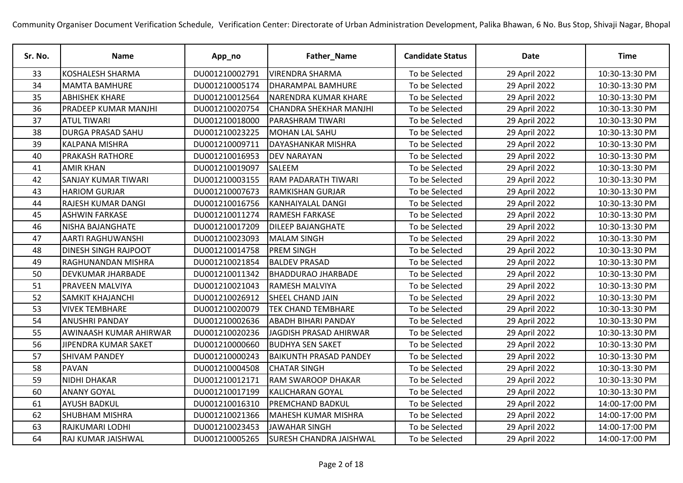| Sr. No. | <b>Name</b>                | App_no         | Father_Name                    | <b>Candidate Status</b> | <b>Date</b>   | <b>Time</b>    |
|---------|----------------------------|----------------|--------------------------------|-------------------------|---------------|----------------|
| 33      | <b>KOSHALESH SHARMA</b>    | DU001210002791 | <b>VIRENDRA SHARMA</b>         | To be Selected          | 29 April 2022 | 10:30-13:30 PM |
| 34      | <b>MAMTA BAMHURE</b>       | DU001210005174 | <b>DHARAMPAL BAMHURE</b>       | To be Selected          | 29 April 2022 | 10:30-13:30 PM |
| 35      | <b>ABHISHEK KHARE</b>      | DU001210012564 | NARENDRA KUMAR KHARE           | To be Selected          | 29 April 2022 | 10:30-13:30 PM |
| 36      | PRADEEP KUMAR MANJHI       | DU001210020754 | <b>CHANDRA SHEKHAR MANJHI</b>  | To be Selected          | 29 April 2022 | 10:30-13:30 PM |
| 37      | <b>ATUL TIWARI</b>         | DU001210018000 | <b>PARASHRAM TIWARI</b>        | To be Selected          | 29 April 2022 | 10:30-13:30 PM |
| 38      | <b>DURGA PRASAD SAHU</b>   | DU001210023225 | MOHAN LAL SAHU                 | To be Selected          | 29 April 2022 | 10:30-13:30 PM |
| 39      | <b>KALPANA MISHRA</b>      | DU001210009711 | <b>DAYASHANKAR MISHRA</b>      | To be Selected          | 29 April 2022 | 10:30-13:30 PM |
| 40      | <b>PRAKASH RATHORE</b>     | DU001210016953 | <b>DEV NARAYAN</b>             | To be Selected          | 29 April 2022 | 10:30-13:30 PM |
| 41      | <b>AMIR KHAN</b>           | DU001210019097 | SALEEM                         | To be Selected          | 29 April 2022 | 10:30-13:30 PM |
| 42      | <b>SANJAY KUMAR TIWARI</b> | DU001210003155 | <b>RAM PADARATH TIWARI</b>     | To be Selected          | 29 April 2022 | 10:30-13:30 PM |
| 43      | <b>HARIOM GURJAR</b>       | DU001210007673 | <b>RAMKISHAN GURJAR</b>        | To be Selected          | 29 April 2022 | 10:30-13:30 PM |
| 44      | <b>RAJESH KUMAR DANGI</b>  | DU001210016756 | <b>KANHAIYALAL DANGI</b>       | To be Selected          | 29 April 2022 | 10:30-13:30 PM |
| 45      | <b>ASHWIN FARKASE</b>      | DU001210011274 | <b>RAMESH FARKASE</b>          | To be Selected          | 29 April 2022 | 10:30-13:30 PM |
| 46      | NISHA BAJANGHATE           | DU001210017209 | <b>DILEEP BAJANGHATE</b>       | To be Selected          | 29 April 2022 | 10:30-13:30 PM |
| 47      | AARTI RAGHUWANSHI          | DU001210023093 | <b>MALAM SINGH</b>             | To be Selected          | 29 April 2022 | 10:30-13:30 PM |
| 48      | DINESH SINGH RAJPOOT       | DU001210014758 | <b>PREM SINGH</b>              | To be Selected          | 29 April 2022 | 10:30-13:30 PM |
| 49      | <b>RAGHUNANDAN MISHRA</b>  | DU001210021854 | <b>BALDEV PRASAD</b>           | To be Selected          | 29 April 2022 | 10:30-13:30 PM |
| 50      | <b>DEVKUMAR JHARBADE</b>   | DU001210011342 | <b>BHADDURAO JHARBADE</b>      | To be Selected          | 29 April 2022 | 10:30-13:30 PM |
| 51      | <b>PRAVEEN MALVIYA</b>     | DU001210021043 | <b>RAMESH MALVIYA</b>          | To be Selected          | 29 April 2022 | 10:30-13:30 PM |
| 52      | <b>SAMKIT KHAJANCHI</b>    | DU001210026912 | <b>SHEEL CHAND JAIN</b>        | To be Selected          | 29 April 2022 | 10:30-13:30 PM |
| 53      | <b>VIVEK TEMBHARE</b>      | DU001210020079 | TEK CHAND TEMBHARE             | To be Selected          | 29 April 2022 | 10:30-13:30 PM |
| 54      | <b>ANUSHRI PANDAY</b>      | DU001210002636 | <b>ABADH BIHARI PANDAY</b>     | To be Selected          | 29 April 2022 | 10:30-13:30 PM |
| 55      | AWINAASH KUMAR AHIRWAR     | DU001210020236 | JAGDISH PRASAD AHIRWAR         | To be Selected          | 29 April 2022 | 10:30-13:30 PM |
| 56      | JIPENDRA KUMAR SAKET       | DU001210000660 | <b>BUDHYA SEN SAKET</b>        | To be Selected          | 29 April 2022 | 10:30-13:30 PM |
| 57      | <b>SHIVAM PANDEY</b>       | DU001210000243 | <b>BAIKUNTH PRASAD PANDEY</b>  | To be Selected          | 29 April 2022 | 10:30-13:30 PM |
| 58      | <b>PAVAN</b>               | DU001210004508 | <b>CHATAR SINGH</b>            | To be Selected          | 29 April 2022 | 10:30-13:30 PM |
| 59      | <b>NIDHI DHAKAR</b>        | DU001210012171 | <b>RAM SWAROOP DHAKAR</b>      | To be Selected          | 29 April 2022 | 10:30-13:30 PM |
| 60      | <b>ANANY GOYAL</b>         | DU001210017199 | <b>KALICHARAN GOYAL</b>        | To be Selected          | 29 April 2022 | 10:30-13:30 PM |
| 61      | <b>AYUSH BADKUL</b>        | DU001210016310 | <b>PREMCHAND BADKUL</b>        | To be Selected          | 29 April 2022 | 14:00-17:00 PM |
| 62      | <b>SHUBHAM MISHRA</b>      | DU001210021366 | <b>MAHESH KUMAR MISHRA</b>     | To be Selected          | 29 April 2022 | 14:00-17:00 PM |
| 63      | RAJKUMARI LODHI            | DU001210023453 | <b>JAWAHAR SINGH</b>           | To be Selected          | 29 April 2022 | 14:00-17:00 PM |
| 64      | RAJ KUMAR JAISHWAL         | DU001210005265 | <b>SURESH CHANDRA JAISHWAL</b> | To be Selected          | 29 April 2022 | 14:00-17:00 PM |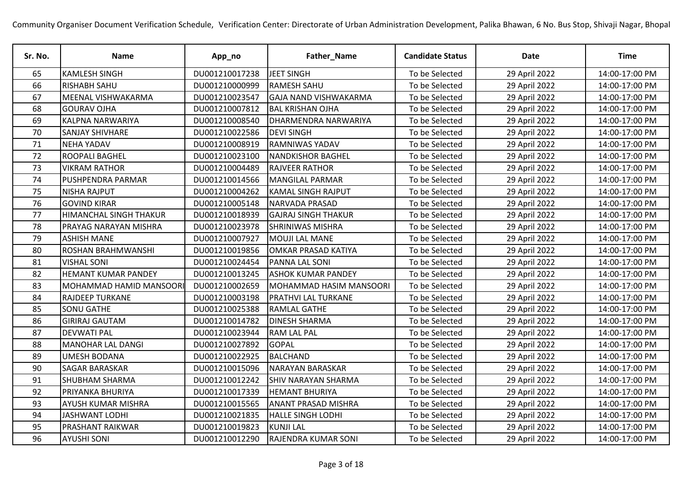| Sr. No. | <b>Name</b>                   | App_no         | Father_Name                  | <b>Candidate Status</b> | <b>Date</b>   | <b>Time</b>    |
|---------|-------------------------------|----------------|------------------------------|-------------------------|---------------|----------------|
| 65      | <b>KAMLESH SINGH</b>          | DU001210017238 | JEET SINGH                   | To be Selected          | 29 April 2022 | 14:00-17:00 PM |
| 66      | <b>RISHABH SAHU</b>           | DU001210000999 | <b>RAMESH SAHU</b>           | To be Selected          | 29 April 2022 | 14:00-17:00 PM |
| 67      | MEENAL VISHWAKARMA            | DU001210023547 | <b>GAJA NAND VISHWAKARMA</b> | To be Selected          | 29 April 2022 | 14:00-17:00 PM |
| 68      | <b>GOURAV OJHA</b>            | DU001210007812 | <b>BAL KRISHAN OJHA</b>      | To be Selected          | 29 April 2022 | 14:00-17:00 PM |
| 69      | <b>KALPNA NARWARIYA</b>       | DU001210008540 | <b>DHARMENDRA NARWARIYA</b>  | To be Selected          | 29 April 2022 | 14:00-17:00 PM |
| 70      | <b>SANJAY SHIVHARE</b>        | DU001210022586 | <b>DEVI SINGH</b>            | To be Selected          | 29 April 2022 | 14:00-17:00 PM |
| 71      | NEHA YADAV                    | DU001210008919 | <b>RAMNIWAS YADAV</b>        | To be Selected          | 29 April 2022 | 14:00-17:00 PM |
| 72      | <b>ROOPALI BAGHEL</b>         | DU001210023100 | <b>NANDKISHOR BAGHEL</b>     | To be Selected          | 29 April 2022 | 14:00-17:00 PM |
| 73      | <b>VIKRAM RATHOR</b>          | DU001210004489 | <b>RAJVEER RATHOR</b>        | To be Selected          | 29 April 2022 | 14:00-17:00 PM |
| 74      | PUSHPENDRA PARMAR             | DU001210014566 | MANGILAL PARMAR              | To be Selected          | 29 April 2022 | 14:00-17:00 PM |
| 75      | <b>NISHA RAJPUT</b>           | DU001210004262 | <b>KAMAL SINGH RAJPUT</b>    | To be Selected          | 29 April 2022 | 14:00-17:00 PM |
| 76      | <b>GOVIND KIRAR</b>           | DU001210005148 | NARVADA PRASAD               | To be Selected          | 29 April 2022 | 14:00-17:00 PM |
| 77      | <b>HIMANCHAL SINGH THAKUR</b> | DU001210018939 | <b>GAJRAJ SINGH THAKUR</b>   | To be Selected          | 29 April 2022 | 14:00-17:00 PM |
| 78      | PRAYAG NARAYAN MISHRA         | DU001210023978 | <b>SHRINIWAS MISHRA</b>      | To be Selected          | 29 April 2022 | 14:00-17:00 PM |
| 79      | <b>ASHISH MANE</b>            | DU001210007927 | <b>MOUJI LAL MANE</b>        | To be Selected          | 29 April 2022 | 14:00-17:00 PM |
| 80      | ROSHAN BRAHMWANSHI            | DU001210019856 | OMKAR PRASAD KATIYA          | To be Selected          | 29 April 2022 | 14:00-17:00 PM |
| 81      | <b>VISHAL SONI</b>            | DU001210024454 | <b>PANNA LAL SONI</b>        | To be Selected          | 29 April 2022 | 14:00-17:00 PM |
| 82      | <b>HEMANT KUMAR PANDEY</b>    | DU001210013245 | <b>ASHOK KUMAR PANDEY</b>    | To be Selected          | 29 April 2022 | 14:00-17:00 PM |
| 83      | MOHAMMAD HAMID MANSOORI       | DU001210002659 | MOHAMMAD HASIM MANSOORI      | To be Selected          | 29 April 2022 | 14:00-17:00 PM |
| 84      | <b>RAJDEEP TURKANE</b>        | DU001210003198 | <b>PRATHVI LAL TURKANE</b>   | To be Selected          | 29 April 2022 | 14:00-17:00 PM |
| 85      | <b>SONU GATHE</b>             | DU001210025388 | <b>RAMLAL GATHE</b>          | To be Selected          | 29 April 2022 | 14:00-17:00 PM |
| 86      | <b>GIRIRAJ GAUTAM</b>         | DU001210014782 | <b>DINESH SHARMA</b>         | To be Selected          | 29 April 2022 | 14:00-17:00 PM |
| 87      | <b>DEVWATI PAL</b>            | DU001210023944 | <b>RAM LAL PAL</b>           | To be Selected          | 29 April 2022 | 14:00-17:00 PM |
| 88      | <b>MANOHAR LAL DANGI</b>      | DU001210027892 | <b>GOPAL</b>                 | To be Selected          | 29 April 2022 | 14:00-17:00 PM |
| 89      | <b>UMESH BODANA</b>           | DU001210022925 | <b>BALCHAND</b>              | To be Selected          | 29 April 2022 | 14:00-17:00 PM |
| 90      | <b>SAGAR BARASKAR</b>         | DU001210015096 | NARAYAN BARASKAR             | To be Selected          | 29 April 2022 | 14:00-17:00 PM |
| 91      | <b>SHUBHAM SHARMA</b>         | DU001210012242 | <b>SHIV NARAYAN SHARMA</b>   | To be Selected          | 29 April 2022 | 14:00-17:00 PM |
| 92      | <b>PRIYANKA BHURIYA</b>       | DU001210017339 | <b>HEMANT BHURIYA</b>        | To be Selected          | 29 April 2022 | 14:00-17:00 PM |
| 93      | AYUSH KUMAR MISHRA            | DU001210015565 | <b>ANANT PRASAD MISHRA</b>   | To be Selected          | 29 April 2022 | 14:00-17:00 PM |
| 94      | <b>JASHWANT LODHI</b>         | DU001210021835 | <b>HALLE SINGH LODHI</b>     | To be Selected          | 29 April 2022 | 14:00-17:00 PM |
| 95      | <b>PRASHANT RAIKWAR</b>       | DU001210019823 | <b>KUNJI LAL</b>             | To be Selected          | 29 April 2022 | 14:00-17:00 PM |
| 96      | <b>AYUSHI SONI</b>            | DU001210012290 | <b>RAJENDRA KUMAR SONI</b>   | To be Selected          | 29 April 2022 | 14:00-17:00 PM |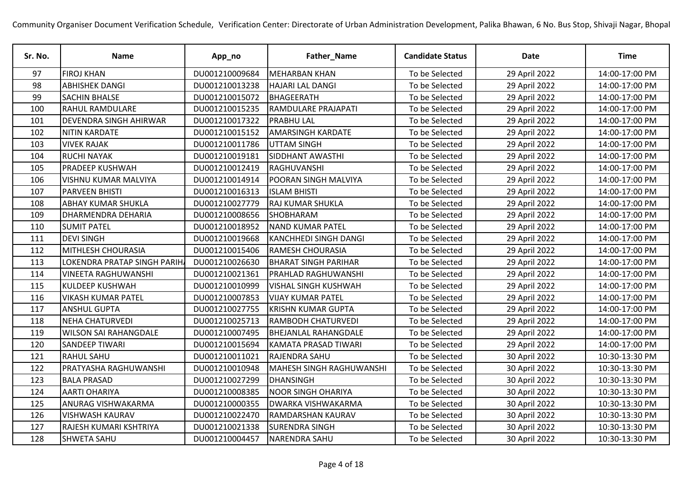| Sr. No. | <b>Name</b>                  | App_no         | Father_Name                     | <b>Candidate Status</b> | <b>Date</b>   | <b>Time</b>    |
|---------|------------------------------|----------------|---------------------------------|-------------------------|---------------|----------------|
| 97      | <b>FIROJ KHAN</b>            | DU001210009684 | <b>MEHARBAN KHAN</b>            | To be Selected          | 29 April 2022 | 14:00-17:00 PM |
| 98      | <b>ABHISHEK DANGI</b>        | DU001210013238 | <b>HAJARI LAL DANGI</b>         | To be Selected          | 29 April 2022 | 14:00-17:00 PM |
| 99      | <b>SACHIN BHALSE</b>         | DU001210015072 | BHAGEERATH                      | To be Selected          | 29 April 2022 | 14:00-17:00 PM |
| 100     | <b>RAHUL RAMDULARE</b>       | DU001210015235 | <b>RAMDULARE PRAJAPATI</b>      | To be Selected          | 29 April 2022 | 14:00-17:00 PM |
| 101     | DEVENDRA SINGH AHIRWAR       | DU001210017322 | <b>PRABHU LAL</b>               | To be Selected          | 29 April 2022 | 14:00-17:00 PM |
| 102     | <b>NITIN KARDATE</b>         | DU001210015152 | <b>AMARSINGH KARDATE</b>        | To be Selected          | 29 April 2022 | 14:00-17:00 PM |
| 103     | <b>VIVEK RAJAK</b>           | DU001210011786 | UTTAM SINGH                     | To be Selected          | 29 April 2022 | 14:00-17:00 PM |
| 104     | <b>RUCHI NAYAK</b>           | DU001210019181 | <b>SIDDHANT AWASTHI</b>         | To be Selected          | 29 April 2022 | 14:00-17:00 PM |
| 105     | <b>PRADEEP KUSHWAH</b>       | DU001210012419 | RAGHUVANSHI                     | To be Selected          | 29 April 2022 | 14:00-17:00 PM |
| 106     | <b>VISHNU KUMAR MALVIYA</b>  | DU001210014914 | <b>POORAN SINGH MALVIYA</b>     | To be Selected          | 29 April 2022 | 14:00-17:00 PM |
| 107     | <b>PARVEEN BHISTI</b>        | DU001210016313 | <b>ISLAM BHISTI</b>             | To be Selected          | 29 April 2022 | 14:00-17:00 PM |
| 108     | <b>ABHAY KUMAR SHUKLA</b>    | DU001210027779 | <b>RAJ KUMAR SHUKLA</b>         | To be Selected          | 29 April 2022 | 14:00-17:00 PM |
| 109     | <b>DHARMENDRA DEHARIA</b>    | DU001210008656 | SHOBHARAM                       | To be Selected          | 29 April 2022 | 14:00-17:00 PM |
| 110     | <b>SUMIT PATEL</b>           | DU001210018952 | <b>NAND KUMAR PATEL</b>         | To be Selected          | 29 April 2022 | 14:00-17:00 PM |
| 111     | <b>DEVI SINGH</b>            | DU001210019668 | <b>KANCHHEDI SINGH DANGI</b>    | To be Selected          | 29 April 2022 | 14:00-17:00 PM |
| 112     | <b>MITHLESH CHOURASIA</b>    | DU001210015406 | <b>RAMESH CHOURASIA</b>         | To be Selected          | 29 April 2022 | 14:00-17:00 PM |
| 113     | LOKENDRA PRATAP SINGH PARIH  | DU001210026630 | <b>BHARAT SINGH PARIHAR</b>     | To be Selected          | 29 April 2022 | 14:00-17:00 PM |
| 114     | VINEETA RAGHUWANSHI          | DU001210021361 | <b>PRAHLAD RAGHUWANSHI</b>      | To be Selected          | 29 April 2022 | 14:00-17:00 PM |
| 115     | <b>KULDEEP KUSHWAH</b>       | DU001210010999 | <b>VISHAL SINGH KUSHWAH</b>     | To be Selected          | 29 April 2022 | 14:00-17:00 PM |
| 116     | <b>VIKASH KUMAR PATEL</b>    | DU001210007853 | <b>VIJAY KUMAR PATEL</b>        | To be Selected          | 29 April 2022 | 14:00-17:00 PM |
| 117     | <b>ANSHUL GUPTA</b>          | DU001210027755 | <b>KRISHN KUMAR GUPTA</b>       | To be Selected          | 29 April 2022 | 14:00-17:00 PM |
| 118     | <b>NEHA CHATURVEDI</b>       | DU001210025713 | <b>RAMBODH CHATURVEDI</b>       | To be Selected          | 29 April 2022 | 14:00-17:00 PM |
| 119     | <b>WILSON SAI RAHANGDALE</b> | DU001210007495 | <b>BHEJANLAL RAHANGDALE</b>     | To be Selected          | 29 April 2022 | 14:00-17:00 PM |
| 120     | <b>SANDEEP TIWARI</b>        | DU001210015694 | KAMATA PRASAD TIWARI            | To be Selected          | 29 April 2022 | 14:00-17:00 PM |
| 121     | <b>RAHUL SAHU</b>            | DU001210011021 | RAJENDRA SAHU                   | To be Selected          | 30 April 2022 | 10:30-13:30 PM |
| 122     | PRATYASHA RAGHUWANSHI        | DU001210010948 | <b>MAHESH SINGH RAGHUWANSHI</b> | To be Selected          | 30 April 2022 | 10:30-13:30 PM |
| 123     | <b>BALA PRASAD</b>           | DU001210027299 | <b>DHANSINGH</b>                | To be Selected          | 30 April 2022 | 10:30-13:30 PM |
| 124     | <b>AARTI OHARIYA</b>         | DU001210008385 | <b>NOOR SINGH OHARIYA</b>       | To be Selected          | 30 April 2022 | 10:30-13:30 PM |
| 125     | ANURAG VISHWAKARMA           | DU001210000355 | <b>DWARKA VISHWAKARMA</b>       | To be Selected          | 30 April 2022 | 10:30-13:30 PM |
| 126     | <b>VISHWASH KAURAV</b>       | DU001210022470 | <b>RAMDARSHAN KAURAV</b>        | To be Selected          | 30 April 2022 | 10:30-13:30 PM |
| 127     | RAJESH KUMARI KSHTRIYA       | DU001210021338 | <b>SURENDRA SINGH</b>           | To be Selected          | 30 April 2022 | 10:30-13:30 PM |
| 128     | <b>SHWETA SAHU</b>           | DU001210004457 | <b>NARENDRA SAHU</b>            | To be Selected          | 30 April 2022 | 10:30-13:30 PM |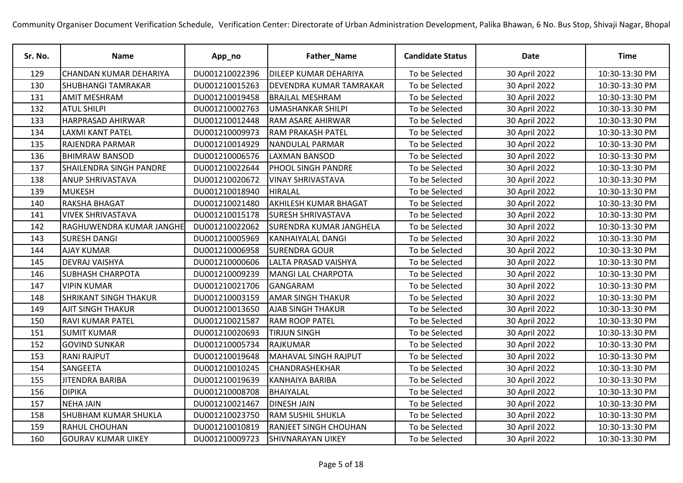| Sr. No. | <b>Name</b>                    | App_no         | Father_Name                  | <b>Candidate Status</b> | <b>Date</b>   | <b>Time</b>    |
|---------|--------------------------------|----------------|------------------------------|-------------------------|---------------|----------------|
| 129     | CHANDAN KUMAR DEHARIYA         | DU001210022396 | <b>DILEEP KUMAR DEHARIYA</b> | To be Selected          | 30 April 2022 | 10:30-13:30 PM |
| 130     | <b>SHUBHANGI TAMRAKAR</b>      | DU001210015263 | DEVENDRA KUMAR TAMRAKAR      | To be Selected          | 30 April 2022 | 10:30-13:30 PM |
| 131     | <b>AMIT MESHRAM</b>            | DU001210019458 | <b>BRAJLAL MESHRAM</b>       | To be Selected          | 30 April 2022 | 10:30-13:30 PM |
| 132     | <b>ATUL SHILPI</b>             | DU001210002763 | <b>UMASHANKAR SHILPI</b>     | To be Selected          | 30 April 2022 | 10:30-13:30 PM |
| 133     | HARPRASAD AHIRWAR              | DU001210012448 | RAM ASARE AHIRWAR            | To be Selected          | 30 April 2022 | 10:30-13:30 PM |
| 134     | <b>LAXMI KANT PATEL</b>        | DU001210009973 | <b>RAM PRAKASH PATEL</b>     | To be Selected          | 30 April 2022 | 10:30-13:30 PM |
| 135     | RAJENDRA PARMAR                | DU001210014929 | NANDULAL PARMAR              | To be Selected          | 30 April 2022 | 10:30-13:30 PM |
| 136     | <b>BHIMRAW BANSOD</b>          | DU001210006576 | <b>LAXMAN BANSOD</b>         | To be Selected          | 30 April 2022 | 10:30-13:30 PM |
| 137     | <b>SHAILENDRA SINGH PANDRE</b> | DU001210022644 | <b>PHOOL SINGH PANDRE</b>    | To be Selected          | 30 April 2022 | 10:30-13:30 PM |
| 138     | <b>ANUP SHRIVASTAVA</b>        | DU001210020672 | <b>VINAY SHRIVASTAVA</b>     | To be Selected          | 30 April 2022 | 10:30-13:30 PM |
| 139     | <b>MUKESH</b>                  | DU001210018940 | <b>HIRALAL</b>               | To be Selected          | 30 April 2022 | 10:30-13:30 PM |
| 140     | RAKSHA BHAGAT                  | DU001210021480 | <b>AKHILESH KUMAR BHAGAT</b> | To be Selected          | 30 April 2022 | 10:30-13:30 PM |
| 141     | <b>VIVEK SHRIVASTAVA</b>       | DU001210015178 | <b>SURESH SHRIVASTAVA</b>    | To be Selected          | 30 April 2022 | 10:30-13:30 PM |
| 142     | RAGHUWENDRA KUMAR JANGHE       | DU001210022062 | SURENDRA KUMAR JANGHELA      | To be Selected          | 30 April 2022 | 10:30-13:30 PM |
| 143     | <b>SURESH DANGI</b>            | DU001210005969 | <b>KANHAIYALAL DANGI</b>     | To be Selected          | 30 April 2022 | 10:30-13:30 PM |
| 144     | <b>AJAY KUMAR</b>              | DU001210006958 | <b>SURENDRA GOUR</b>         | To be Selected          | 30 April 2022 | 10:30-13:30 PM |
| 145     | <b>DEVRAJ VAISHYA</b>          | DU001210000606 | <b>LALTA PRASAD VAISHYA</b>  | To be Selected          | 30 April 2022 | 10:30-13:30 PM |
| 146     | <b>SUBHASH CHARPOTA</b>        | DU001210009239 | MANGI LAL CHARPOTA           | To be Selected          | 30 April 2022 | 10:30-13:30 PM |
| 147     | <b>VIPIN KUMAR</b>             | DU001210021706 | GANGARAM                     | To be Selected          | 30 April 2022 | 10:30-13:30 PM |
| 148     | <b>SHRIKANT SINGH THAKUR</b>   | DU001210003159 | <b>AMAR SINGH THAKUR</b>     | To be Selected          | 30 April 2022 | 10:30-13:30 PM |
| 149     | <b>AJIT SINGH THAKUR</b>       | DU001210013650 | <b>AJAB SINGH THAKUR</b>     | To be Selected          | 30 April 2022 | 10:30-13:30 PM |
| 150     | <b>RAVI KUMAR PATEL</b>        | DU001210021587 | <b>RAM ROOP PATEL</b>        | To be Selected          | 30 April 2022 | 10:30-13:30 PM |
| 151     | <b>SUMIT KUMAR</b>             | DU001210020693 | <b>TIRJUN SINGH</b>          | To be Selected          | 30 April 2022 | 10:30-13:30 PM |
| 152     | <b>GOVIND SUNKAR</b>           | DU001210005734 | <b>RAJKUMAR</b>              | To be Selected          | 30 April 2022 | 10:30-13:30 PM |
| 153     | <b>RANI RAJPUT</b>             | DU001210019648 | <b>MAHAVAL SINGH RAJPUT</b>  | To be Selected          | 30 April 2022 | 10:30-13:30 PM |
| 154     | SANGEETA                       | DU001210010245 | <b>CHANDRASHEKHAR</b>        | To be Selected          | 30 April 2022 | 10:30-13:30 PM |
| 155     | <b>JITENDRA BARIBA</b>         | DU001210019639 | <b>KANHAIYA BARIBA</b>       | To be Selected          | 30 April 2022 | 10:30-13:30 PM |
| 156     | <b>DIPIKA</b>                  | DU001210008708 | <b>BHAIYALAL</b>             | To be Selected          | 30 April 2022 | 10:30-13:30 PM |
| 157     | <b>NEHA JAIN</b>               | DU001210021467 | <b>DINESH JAIN</b>           | To be Selected          | 30 April 2022 | 10:30-13:30 PM |
| 158     | <b>SHUBHAM KUMAR SHUKLA</b>    | DU001210023750 | <b>RAM SUSHIL SHUKLA</b>     | To be Selected          | 30 April 2022 | 10:30-13:30 PM |
| 159     | <b>RAHUL CHOUHAN</b>           | DU001210010819 | <b>RANJEET SINGH CHOUHAN</b> | To be Selected          | 30 April 2022 | 10:30-13:30 PM |
| 160     | <b>GOURAV KUMAR UIKEY</b>      | DU001210009723 | <b>SHIVNARAYAN UIKEY</b>     | To be Selected          | 30 April 2022 | 10:30-13:30 PM |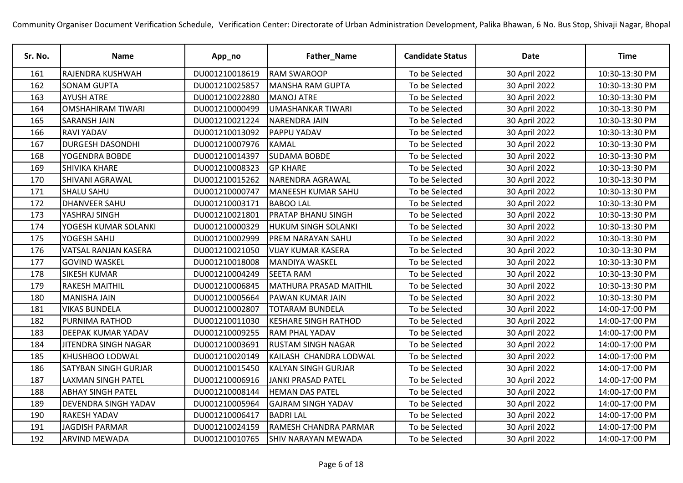| Sr. No. | <b>Name</b>                 | App_no         | Father_Name                   | <b>Candidate Status</b> | <b>Date</b>   | <b>Time</b>    |
|---------|-----------------------------|----------------|-------------------------------|-------------------------|---------------|----------------|
| 161     | RAJENDRA KUSHWAH            | DU001210018619 | <b>RAM SWAROOP</b>            | To be Selected          | 30 April 2022 | 10:30-13:30 PM |
| 162     | <b>SONAM GUPTA</b>          | DU001210025857 | <b>MANSHA RAM GUPTA</b>       | To be Selected          | 30 April 2022 | 10:30-13:30 PM |
| 163     | <b>AYUSH ATRE</b>           | DU001210022880 | <b>MANOJ ATRE</b>             | To be Selected          | 30 April 2022 | 10:30-13:30 PM |
| 164     | <b>OMSHAHIRAM TIWARI</b>    | DU001210000499 | <b>UMASHANKAR TIWARI</b>      | To be Selected          | 30 April 2022 | 10:30-13:30 PM |
| 165     | <b>SARANSH JAIN</b>         | DU001210021224 | <b>NARENDRA JAIN</b>          | To be Selected          | 30 April 2022 | 10:30-13:30 PM |
| 166     | <b>RAVI YADAV</b>           | DU001210013092 | <b>PAPPU YADAV</b>            | To be Selected          | 30 April 2022 | 10:30-13:30 PM |
| 167     | <b>DURGESH DASONDHI</b>     | DU001210007976 | <b>KAMAL</b>                  | To be Selected          | 30 April 2022 | 10:30-13:30 PM |
| 168     | YOGENDRA BOBDE              | DU001210014397 | <b>SUDAMA BOBDE</b>           | To be Selected          | 30 April 2022 | 10:30-13:30 PM |
| 169     | <b>SHIVIKA KHARE</b>        | DU001210008323 | <b>GP KHARE</b>               | To be Selected          | 30 April 2022 | 10:30-13:30 PM |
| 170     | SHIVANI AGRAWAL             | DU001210015262 | <b>NARENDRA AGRAWAL</b>       | To be Selected          | 30 April 2022 | 10:30-13:30 PM |
| 171     | <b>SHALU SAHU</b>           | DU001210000747 | MANEESH KUMAR SAHU            | To be Selected          | 30 April 2022 | 10:30-13:30 PM |
| 172     | <b>DHANVEER SAHU</b>        | DU001210003171 | <b>BABOO LAL</b>              | To be Selected          | 30 April 2022 | 10:30-13:30 PM |
| 173     | YASHRAJ SINGH               | DU001210021801 | <b>PRATAP BHANU SINGH</b>     | To be Selected          | 30 April 2022 | 10:30-13:30 PM |
| 174     | YOGESH KUMAR SOLANKI        | DU001210000329 | HUKUM SINGH SOLANKI           | To be Selected          | 30 April 2022 | 10:30-13:30 PM |
| 175     | YOGESH SAHU                 | DU001210002999 | PREM NARAYAN SAHU             | To be Selected          | 30 April 2022 | 10:30-13:30 PM |
| 176     | VATSAL RANJAN KASERA        | DU001210021050 | <b>VIJAY KUMAR KASERA</b>     | To be Selected          | 30 April 2022 | 10:30-13:30 PM |
| 177     | <b>GOVIND WASKEL</b>        | DU001210018008 | MANDIYA WASKEL                | To be Selected          | 30 April 2022 | 10:30-13:30 PM |
| 178     | <b>SIKESH KUMAR</b>         | DU001210004249 | <b>SEETA RAM</b>              | To be Selected          | 30 April 2022 | 10:30-13:30 PM |
| 179     | <b>RAKESH MAITHIL</b>       | DU001210006845 | <b>MATHURA PRASAD MAITHIL</b> | To be Selected          | 30 April 2022 | 10:30-13:30 PM |
| 180     | <b>MANISHA JAIN</b>         | DU001210005664 | <b>PAWAN KUMAR JAIN</b>       | To be Selected          | 30 April 2022 | 10:30-13:30 PM |
| 181     | <b>VIKAS BUNDELA</b>        | DU001210002807 | <b>TOTARAM BUNDELA</b>        | To be Selected          | 30 April 2022 | 14:00-17:00 PM |
| 182     | PURNIMA RATHOD              | DU001210011030 | <b>KESHARE SINGH RATHOD</b>   | To be Selected          | 30 April 2022 | 14:00-17:00 PM |
| 183     | DEEPAK KUMAR YADAV          | DU001210009255 | <b>RAM PHAL YADAV</b>         | To be Selected          | 30 April 2022 | 14:00-17:00 PM |
| 184     | JITENDRA SINGH NAGAR        | DU001210003691 | <b>RUSTAM SINGH NAGAR</b>     | To be Selected          | 30 April 2022 | 14:00-17:00 PM |
| 185     | KHUSHBOO LODWAL             | DU001210020149 | KAILASH CHANDRA LODWAL        | To be Selected          | 30 April 2022 | 14:00-17:00 PM |
| 186     | <b>SATYBAN SINGH GURJAR</b> | DU001210015450 | <b>KALYAN SINGH GURJAR</b>    | To be Selected          | 30 April 2022 | 14:00-17:00 PM |
| 187     | <b>LAXMAN SINGH PATEL</b>   | DU001210006916 | <b>JANKI PRASAD PATEL</b>     | To be Selected          | 30 April 2022 | 14:00-17:00 PM |
| 188     | <b>ABHAY SINGH PATEL</b>    | DU001210008144 | <b>HEMAN DAS PATEL</b>        | To be Selected          | 30 April 2022 | 14:00-17:00 PM |
| 189     | DEVENDRA SINGH YADAV        | DU001210005964 | <b>GAJRAM SINGH YADAV</b>     | To be Selected          | 30 April 2022 | 14:00-17:00 PM |
| 190     | <b>RAKESH YADAV</b>         | DU001210006417 | <b>BADRILAL</b>               | To be Selected          | 30 April 2022 | 14:00-17:00 PM |
| 191     | <b>JAGDISH PARMAR</b>       | DU001210024159 | RAMESH CHANDRA PARMAR         | To be Selected          | 30 April 2022 | 14:00-17:00 PM |
| 192     | <b>ARVIND MEWADA</b>        | DU001210010765 | <b>SHIV NARAYAN MEWADA</b>    | To be Selected          | 30 April 2022 | 14:00-17:00 PM |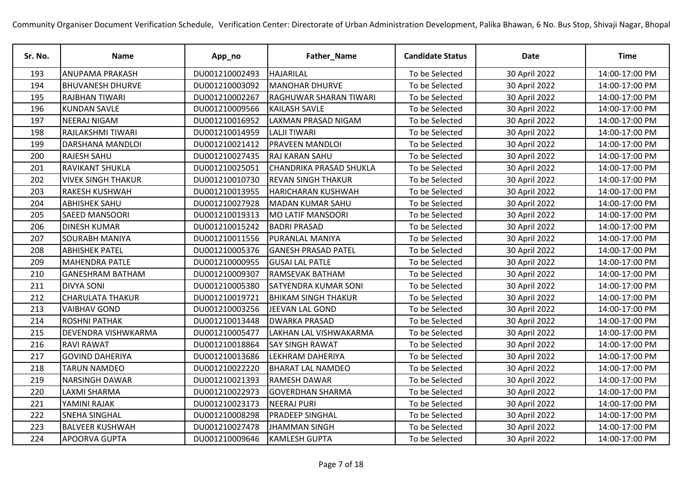| Sr. No. | <b>Name</b>               | App_no         | Father_Name                    | <b>Candidate Status</b> | <b>Date</b>   | <b>Time</b>    |
|---------|---------------------------|----------------|--------------------------------|-------------------------|---------------|----------------|
| 193     | <b>ANUPAMA PRAKASH</b>    | DU001210002493 | <b>HAJARILAL</b>               | To be Selected          | 30 April 2022 | 14:00-17:00 PM |
| 194     | <b>BHUVANESH DHURVE</b>   | DU001210003092 | <b>MANOHAR DHURVE</b>          | To be Selected          | 30 April 2022 | 14:00-17:00 PM |
| 195     | <b>RAJBHAN TIWARI</b>     | DU001210002267 | <b>RAGHUWAR SHARAN TIWARI</b>  | To be Selected          | 30 April 2022 | 14:00-17:00 PM |
| 196     | <b>KUNDAN SAVLE</b>       | DU001210009566 | <b>KAILASH SAVLE</b>           | To be Selected          | 30 April 2022 | 14:00-17:00 PM |
| 197     | <b>NEERAJ NIGAM</b>       | DU001210016952 | LAXMAN PRASAD NIGAM            | To be Selected          | 30 April 2022 | 14:00-17:00 PM |
| 198     | RAJLAKSHMI TIWARI         | DU001210014959 | <b>LALJI TIWARI</b>            | To be Selected          | 30 April 2022 | 14:00-17:00 PM |
| 199     | DARSHANA MANDLOI          | DU001210021412 | <b>PRAVEEN MANDLOI</b>         | To be Selected          | 30 April 2022 | 14:00-17:00 PM |
| 200     | <b>RAJESH SAHU</b>        | DU001210027435 | <b>RAJ KARAN SAHU</b>          | To be Selected          | 30 April 2022 | 14:00-17:00 PM |
| 201     | <b>RAVIKANT SHUKLA</b>    | DU001210025051 | <b>CHANDRIKA PRASAD SHUKLA</b> | To be Selected          | 30 April 2022 | 14:00-17:00 PM |
| 202     | <b>VIVEK SINGH THAKUR</b> | DU001210010730 | <b>REVAN SINGH THAKUR</b>      | To be Selected          | 30 April 2022 | 14:00-17:00 PM |
| 203     | <b>RAKESH KUSHWAH</b>     | DU001210013955 | <b>HARICHARAN KUSHWAH</b>      | To be Selected          | 30 April 2022 | 14:00-17:00 PM |
| 204     | <b>ABHISHEK SAHU</b>      | DU001210027928 | MADAN KUMAR SAHU               | To be Selected          | 30 April 2022 | 14:00-17:00 PM |
| 205     | <b>SAEED MANSOORI</b>     | DU001210019313 | <b>MO LATIF MANSOORI</b>       | To be Selected          | 30 April 2022 | 14:00-17:00 PM |
| 206     | <b>DINESH KUMAR</b>       | DU001210015242 | <b>BADRI PRASAD</b>            | To be Selected          | 30 April 2022 | 14:00-17:00 PM |
| 207     | <b>SOURABH MANIYA</b>     | DU001210011556 | <b>PURANLAL MANIYA</b>         | To be Selected          | 30 April 2022 | 14:00-17:00 PM |
| 208     | <b>ABHISHEK PATEL</b>     | DU001210005376 | <b>GANESH PRASAD PATEL</b>     | To be Selected          | 30 April 2022 | 14:00-17:00 PM |
| 209     | <b>MAHENDRA PATLE</b>     | DU001210000955 | <b>GUSAI LAL PATLE</b>         | To be Selected          | 30 April 2022 | 14:00-17:00 PM |
| 210     | <b>GANESHRAM BATHAM</b>   | DU001210009307 | <b>RAMSEVAK BATHAM</b>         | To be Selected          | 30 April 2022 | 14:00-17:00 PM |
| 211     | <b>DIVYA SONI</b>         | DU001210005380 | <b>SATYENDRA KUMAR SONI</b>    | To be Selected          | 30 April 2022 | 14:00-17:00 PM |
| 212     | <b>CHARULATA THAKUR</b>   | DU001210019721 | <b>BHIKAM SINGH THAKUR</b>     | To be Selected          | 30 April 2022 | 14:00-17:00 PM |
| 213     | <b>VAIBHAV GOND</b>       | DU001210003256 | JEEVAN LAL GOND                | To be Selected          | 30 April 2022 | 14:00-17:00 PM |
| 214     | <b>ROSHNI PATHAK</b>      | DU001210013448 | <b>DWARKA PRASAD</b>           | To be Selected          | 30 April 2022 | 14:00-17:00 PM |
| 215     | DEVENDRA VISHWKARMA       | DU001210005477 | <b>LAKHAN LAL VISHWAKARMA</b>  | To be Selected          | 30 April 2022 | 14:00-17:00 PM |
| 216     | <b>RAVI RAWAT</b>         | DU001210018864 | <b>SAY SINGH RAWAT</b>         | To be Selected          | 30 April 2022 | 14:00-17:00 PM |
| 217     | <b>GOVIND DAHERIYA</b>    | DU001210013686 | LEKHRAM DAHERIYA               | To be Selected          | 30 April 2022 | 14:00-17:00 PM |
| 218     | <b>TARUN NAMDEO</b>       | DU001210022220 | <b>BHARAT LAL NAMDEO</b>       | To be Selected          | 30 April 2022 | 14:00-17:00 PM |
| 219     | NARSINGH DAWAR            | DU001210021393 | <b>RAMESH DAWAR</b>            | To be Selected          | 30 April 2022 | 14:00-17:00 PM |
| 220     | <b>LAXMI SHARMA</b>       | DU001210022973 | <b>GOVERDHAN SHARMA</b>        | To be Selected          | 30 April 2022 | 14:00-17:00 PM |
| 221     | YAMINI RAJAK              | DU001210023173 | <b>NEERAJ PURI</b>             | To be Selected          | 30 April 2022 | 14:00-17:00 PM |
| 222     | <b>SNEHA SINGHAL</b>      | DU001210008298 | <b>PRADEEP SINGHAL</b>         | To be Selected          | 30 April 2022 | 14:00-17:00 PM |
| 223     | <b>BALVEER KUSHWAH</b>    | DU001210027478 | <b>JHAMMAN SINGH</b>           | To be Selected          | 30 April 2022 | 14:00-17:00 PM |
| 224     | APOORVA GUPTA             | DU001210009646 | <b>KAMLESH GUPTA</b>           | To be Selected          | 30 April 2022 | 14:00-17:00 PM |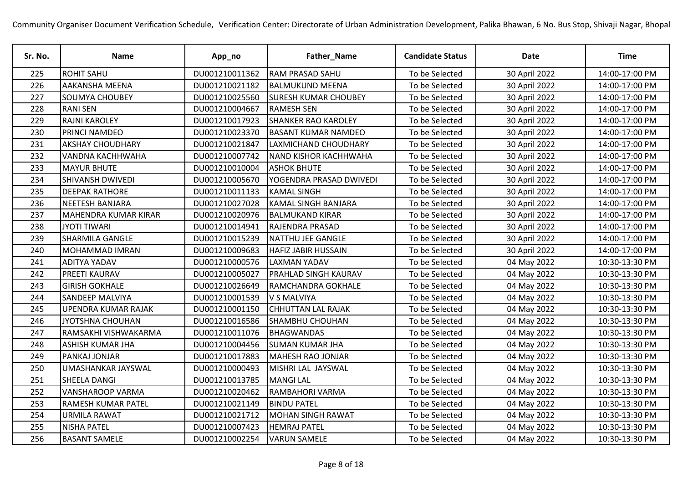| Sr. No. | Name                    | App_no         | Father_Name                 | <b>Candidate Status</b> | <b>Date</b>   | <b>Time</b>    |
|---------|-------------------------|----------------|-----------------------------|-------------------------|---------------|----------------|
| 225     | <b>ROHIT SAHU</b>       | DU001210011362 | <b>RAM PRASAD SAHU</b>      | To be Selected          | 30 April 2022 | 14:00-17:00 PM |
| 226     | AAKANSHA MEENA          | DU001210021182 | <b>BALMUKUND MEENA</b>      | To be Selected          | 30 April 2022 | 14:00-17:00 PM |
| 227     | <b>SOUMYA CHOUBEY</b>   | DU001210025560 | <b>SURESH KUMAR CHOUBEY</b> | To be Selected          | 30 April 2022 | 14:00-17:00 PM |
| 228     | <b>RANI SEN</b>         | DU001210004667 | <b>RAMESH SEN</b>           | To be Selected          | 30 April 2022 | 14:00-17:00 PM |
| 229     | <b>RAJNI KAROLEY</b>    | DU001210017923 | <b>SHANKER RAO KAROLEY</b>  | To be Selected          | 30 April 2022 | 14:00-17:00 PM |
| 230     | PRINCI NAMDEO           | DU001210023370 | <b>BASANT KUMAR NAMDEO</b>  | To be Selected          | 30 April 2022 | 14:00-17:00 PM |
| 231     | <b>AKSHAY CHOUDHARY</b> | DU001210021847 | LAXMICHAND CHOUDHARY        | To be Selected          | 30 April 2022 | 14:00-17:00 PM |
| 232     | VANDNA KACHHWAHA        | DU001210007742 | NAND KISHOR KACHHWAHA       | To be Selected          | 30 April 2022 | 14:00-17:00 PM |
| 233     | <b>MAYUR BHUTE</b>      | DU001210010004 | <b>ASHOK BHUTE</b>          | To be Selected          | 30 April 2022 | 14:00-17:00 PM |
| 234     | <b>SHIVANSH DWIVEDI</b> | DU001210005670 | YOGENDRA PRASAD DWIVEDI     | To be Selected          | 30 April 2022 | 14:00-17:00 PM |
| 235     | <b>DEEPAK RATHORE</b>   | DU001210011133 | <b>KAMAL SINGH</b>          | To be Selected          | 30 April 2022 | 14:00-17:00 PM |
| 236     | NEETESH BANJARA         | DU001210027028 | <b>KAMAL SINGH BANJARA</b>  | To be Selected          | 30 April 2022 | 14:00-17:00 PM |
| 237     | MAHENDRA KUMAR KIRAR    | DU001210020976 | <b>BALMUKAND KIRAR</b>      | To be Selected          | 30 April 2022 | 14:00-17:00 PM |
| 238     | <b>JYOTI TIWARI</b>     | DU001210014941 | <b>RAJENDRA PRASAD</b>      | To be Selected          | 30 April 2022 | 14:00-17:00 PM |
| 239     | SHARMILA GANGLE         | DU001210015239 | NATTHU JEE GANGLE           | To be Selected          | 30 April 2022 | 14:00-17:00 PM |
| 240     | MOHAMMAD IMRAN          | DU001210009683 | <b>HAFIZ JABIR HUSSAIN</b>  | To be Selected          | 30 April 2022 | 14:00-17:00 PM |
| 241     | <b>ADITYA YADAV</b>     | DU001210000576 | <b>LAXMAN YADAV</b>         | To be Selected          | 04 May 2022   | 10:30-13:30 PM |
| 242     | PREETI KAURAV           | DU001210005027 | <b>PRAHLAD SINGH KAURAV</b> | To be Selected          | 04 May 2022   | 10:30-13:30 PM |
| 243     | <b>GIRISH GOKHALE</b>   | DU001210026649 | RAMCHANDRA GOKHALE          | To be Selected          | 04 May 2022   | 10:30-13:30 PM |
| 244     | SANDEEP MALVIYA         | DU001210001539 | V S MALVIYA                 | To be Selected          | 04 May 2022   | 10:30-13:30 PM |
| 245     | UPENDRA KUMAR RAJAK     | DU001210001150 | <b>CHHUTTAN LAL RAJAK</b>   | To be Selected          | 04 May 2022   | 10:30-13:30 PM |
| 246     | JYOTSHNA CHOUHAN        | DU001210016586 | <b>SHAMBHU CHOUHAN</b>      | To be Selected          | 04 May 2022   | 10:30-13:30 PM |
| 247     | RAMSAKHI VISHWAKARMA    | DU001210011076 | <b>BHAGWANDAS</b>           | To be Selected          | 04 May 2022   | 10:30-13:30 PM |
| 248     | ASHISH KUMAR JHA        | DU001210004456 | <b>SUMAN KUMAR JHA</b>      | To be Selected          | 04 May 2022   | 10:30-13:30 PM |
| 249     | PANKAJ JONJAR           | DU001210017883 | MAHESH RAO JONJAR           | To be Selected          | 04 May 2022   | 10:30-13:30 PM |
| 250     | UMASHANKAR JAYSWAL      | DU001210000493 | MISHRI LAL JAYSWAL          | To be Selected          | 04 May 2022   | 10:30-13:30 PM |
| 251     | SHEELA DANGI            | DU001210013785 | <b>MANGILAL</b>             | To be Selected          | 04 May 2022   | 10:30-13:30 PM |
| 252     | <b>VANSHAROOP VARMA</b> | DU001210020462 | RAMBAHORI VARMA             | To be Selected          | 04 May 2022   | 10:30-13:30 PM |
| 253     | RAMESH KUMAR PATEL      | DU001210021149 | <b>BINDU PATEL</b>          | To be Selected          | 04 May 2022   | 10:30-13:30 PM |
| 254     | URMILA RAWAT            | DU001210021712 | <b>MOHAN SINGH RAWAT</b>    | To be Selected          | 04 May 2022   | 10:30-13:30 PM |
| 255     | <b>NISHA PATEL</b>      | DU001210007423 | <b>HEMRAJ PATEL</b>         | To be Selected          | 04 May 2022   | 10:30-13:30 PM |
| 256     | <b>BASANT SAMELE</b>    | DU001210002254 | <b>VARUN SAMELE</b>         | To be Selected          | 04 May 2022   | 10:30-13:30 PM |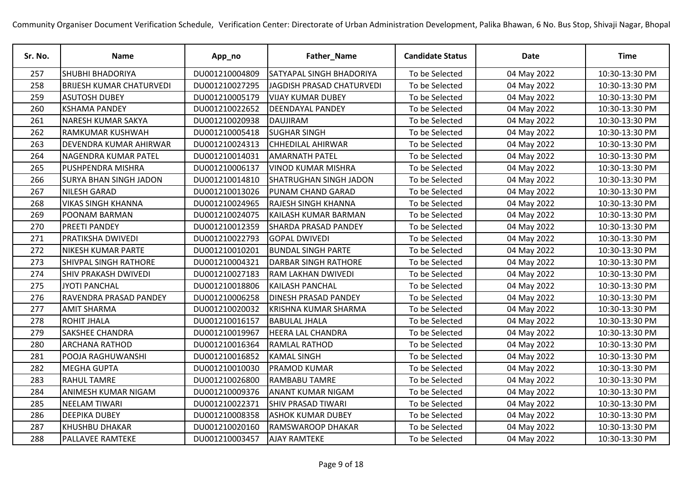| Sr. No. | <b>Name</b>                     | App_no         | Father_Name                   | <b>Candidate Status</b> | <b>Date</b> | <b>Time</b>    |
|---------|---------------------------------|----------------|-------------------------------|-------------------------|-------------|----------------|
| 257     | <b>SHUBHI BHADORIYA</b>         | DU001210004809 | SATYAPAL SINGH BHADORIYA      | To be Selected          | 04 May 2022 | 10:30-13:30 PM |
| 258     | <b>BRIJESH KUMAR CHATURVEDI</b> | DU001210027295 | JAGDISH PRASAD CHATURVEDI     | To be Selected          | 04 May 2022 | 10:30-13:30 PM |
| 259     | <b>ASUTOSH DUBEY</b>            | DU001210005179 | <b>VIJAY KUMAR DUBEY</b>      | To be Selected          | 04 May 2022 | 10:30-13:30 PM |
| 260     | <b>KSHAMA PANDEY</b>            | DU001210022652 | <b>DEENDAYAL PANDEY</b>       | To be Selected          | 04 May 2022 | 10:30-13:30 PM |
| 261     | NARESH KUMAR SAKYA              | DU001210020938 | DAUJIRAM                      | To be Selected          | 04 May 2022 | 10:30-13:30 PM |
| 262     | RAMKUMAR KUSHWAH                | DU001210005418 | <b>SUGHAR SINGH</b>           | To be Selected          | 04 May 2022 | 10:30-13:30 PM |
| 263     | DEVENDRA KUMAR AHIRWAR          | DU001210024313 | <b>CHHEDILAL AHIRWAR</b>      | To be Selected          | 04 May 2022 | 10:30-13:30 PM |
| 264     | NAGENDRA KUMAR PATEL            | DU001210014031 | <b>AMARNATH PATEL</b>         | To be Selected          | 04 May 2022 | 10:30-13:30 PM |
| 265     | PUSHPENDRA MISHRA               | DU001210006137 | <b>VINOD KUMAR MISHRA</b>     | To be Selected          | 04 May 2022 | 10:30-13:30 PM |
| 266     | <b>SURYA BHAN SINGH JADON</b>   | DU001210014810 | <b>SHATRUGHAN SINGH JADON</b> | To be Selected          | 04 May 2022 | 10:30-13:30 PM |
| 267     | NILESH GARAD                    | DU001210013026 | <b>PUNAM CHAND GARAD</b>      | To be Selected          | 04 May 2022 | 10:30-13:30 PM |
| 268     | <b>VIKAS SINGH KHANNA</b>       | DU001210024965 | <b>RAJESH SINGH KHANNA</b>    | To be Selected          | 04 May 2022 | 10:30-13:30 PM |
| 269     | POONAM BARMAN                   | DU001210024075 | <b>KAILASH KUMAR BARMAN</b>   | To be Selected          | 04 May 2022 | 10:30-13:30 PM |
| 270     | PREETI PANDEY                   | DU001210012359 | <b>SHARDA PRASAD PANDEY</b>   | To be Selected          | 04 May 2022 | 10:30-13:30 PM |
| 271     | PRATIKSHA DWIVEDI               | DU001210022793 | <b>GOPAL DWIVEDI</b>          | To be Selected          | 04 May 2022 | 10:30-13:30 PM |
| 272     | NIKESH KUMAR PARTE              | DU001210010201 | <b>BUNDAL SINGH PARTE</b>     | To be Selected          | 04 May 2022 | 10:30-13:30 PM |
| 273     | <b>SHIVPAL SINGH RATHORE</b>    | DU001210004321 | <b>DARBAR SINGH RATHORE</b>   | To be Selected          | 04 May 2022 | 10:30-13:30 PM |
| 274     | SHIV PRAKASH DWIVEDI            | DU001210027183 | <b>RAM LAKHAN DWIVEDI</b>     | To be Selected          | 04 May 2022 | 10:30-13:30 PM |
| 275     | <b>JYOTI PANCHAL</b>            | DU001210018806 | <b>KAILASH PANCHAL</b>        | To be Selected          | 04 May 2022 | 10:30-13:30 PM |
| 276     | RAVENDRA PRASAD PANDEY          | DU001210006258 | <b>DINESH PRASAD PANDEY</b>   | To be Selected          | 04 May 2022 | 10:30-13:30 PM |
| 277     | <b>AMIT SHARMA</b>              | DU001210020032 | <b>KRISHNA KUMAR SHARMA</b>   | To be Selected          | 04 May 2022 | 10:30-13:30 PM |
| 278     | <b>ROHIT JHALA</b>              | DU001210016157 | <b>BABULAL JHALA</b>          | To be Selected          | 04 May 2022 | 10:30-13:30 PM |
| 279     | SAKSHEE CHANDRA                 | DU001210019967 | <b>HEERA LAL CHANDRA</b>      | To be Selected          | 04 May 2022 | 10:30-13:30 PM |
| 280     | <b>ARCHANA RATHOD</b>           | DU001210016364 | <b>RAMLAL RATHOD</b>          | To be Selected          | 04 May 2022 | 10:30-13:30 PM |
| 281     | POOJA RAGHUWANSHI               | DU001210016852 | <b>KAMAL SINGH</b>            | To be Selected          | 04 May 2022 | 10:30-13:30 PM |
| 282     | <b>MEGHA GUPTA</b>              | DU001210010030 | <b>PRAMOD KUMAR</b>           | To be Selected          | 04 May 2022 | 10:30-13:30 PM |
| 283     | <b>RAHUL TAMRE</b>              | DU001210026800 | <b>RAMBABU TAMRE</b>          | To be Selected          | 04 May 2022 | 10:30-13:30 PM |
| 284     | ANIMESH KUMAR NIGAM             | DU001210009376 | <b>ANANT KUMAR NIGAM</b>      | To be Selected          | 04 May 2022 | 10:30-13:30 PM |
| 285     | <b>NEELAM TIWARI</b>            | DU001210022371 | <b>SHIV PRASAD TIWARI</b>     | To be Selected          | 04 May 2022 | 10:30-13:30 PM |
| 286     | <b>DEEPIKA DUBEY</b>            | DU001210008358 | <b>ASHOK KUMAR DUBEY</b>      | To be Selected          | 04 May 2022 | 10:30-13:30 PM |
| 287     | KHUSHBU DHAKAR                  | DU001210020160 | <b>RAMSWAROOP DHAKAR</b>      | To be Selected          | 04 May 2022 | 10:30-13:30 PM |
| 288     | PALLAVEE RAMTEKE                | DU001210003457 | <b>AJAY RAMTEKE</b>           | To be Selected          | 04 May 2022 | 10:30-13:30 PM |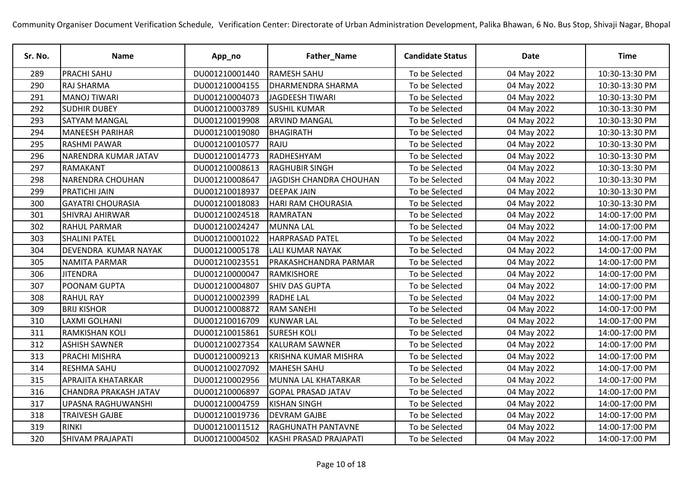| Sr. No. | <b>Name</b>                  | App_no         | Father_Name                  | <b>Candidate Status</b> | <b>Date</b> | Time           |
|---------|------------------------------|----------------|------------------------------|-------------------------|-------------|----------------|
| 289     | <b>PRACHI SAHU</b>           | DU001210001440 | <b>RAMESH SAHU</b>           | To be Selected          | 04 May 2022 | 10:30-13:30 PM |
| 290     | <b>RAJ SHARMA</b>            | DU001210004155 | <b>DHARMENDRA SHARMA</b>     | To be Selected          | 04 May 2022 | 10:30-13:30 PM |
| 291     | <b>MANOJ TIWARI</b>          | DU001210004073 | JAGDEESH TIWARI              | To be Selected          | 04 May 2022 | 10:30-13:30 PM |
| 292     | <b>SUDHIR DUBEY</b>          | DU001210003789 | <b>SUSHIL KUMAR</b>          | To be Selected          | 04 May 2022 | 10:30-13:30 PM |
| 293     | <b>SATYAM MANGAL</b>         | DU001210019908 | <b>ARVIND MANGAL</b>         | To be Selected          | 04 May 2022 | 10:30-13:30 PM |
| 294     | <b>MANEESH PARIHAR</b>       | DU001210019080 | BHAGIRATH                    | To be Selected          | 04 May 2022 | 10:30-13:30 PM |
| 295     | <b>RASHMI PAWAR</b>          | DU001210010577 | RAJU                         | To be Selected          | 04 May 2022 | 10:30-13:30 PM |
| 296     | NARENDRA KUMAR JATAV         | DU001210014773 | RADHESHYAM                   | To be Selected          | 04 May 2022 | 10:30-13:30 PM |
| 297     | RAMAKANT                     | DU001210008613 | <b>RAGHUBIR SINGH</b>        | To be Selected          | 04 May 2022 | 10:30-13:30 PM |
| 298     | <b>NARENDRA CHOUHAN</b>      | DU001210008647 | JAGDISH CHANDRA CHOUHAN      | To be Selected          | 04 May 2022 | 10:30-13:30 PM |
| 299     | PRATICHI JAIN                | DU001210018937 | <b>DEEPAK JAIN</b>           | To be Selected          | 04 May 2022 | 10:30-13:30 PM |
| 300     | <b>GAYATRI CHOURASIA</b>     | DU001210018083 | <b>HARI RAM CHOURASIA</b>    | To be Selected          | 04 May 2022 | 10:30-13:30 PM |
| 301     | SHIVRAJ AHIRWAR              | DU001210024518 | RAMRATAN                     | To be Selected          | 04 May 2022 | 14:00-17:00 PM |
| 302     | <b>RAHUL PARMAR</b>          | DU001210024247 | <b>MUNNA LAL</b>             | To be Selected          | 04 May 2022 | 14:00-17:00 PM |
| 303     | <b>SHALINI PATEL</b>         | DU001210001022 | <b>HARPRASAD PATEL</b>       | To be Selected          | 04 May 2022 | 14:00-17:00 PM |
| 304     | DEVENDRA KUMAR NAYAK         | DU001210005178 | <b>LALI KUMAR NAYAK</b>      | To be Selected          | 04 May 2022 | 14:00-17:00 PM |
| 305     | <b>NAMITA PARMAR</b>         | DU001210023551 | <b>PRAKASHCHANDRA PARMAR</b> | To be Selected          | 04 May 2022 | 14:00-17:00 PM |
| 306     | <b>JITENDRA</b>              | DU001210000047 | RAMKISHORE                   | To be Selected          | 04 May 2022 | 14:00-17:00 PM |
| 307     | POONAM GUPTA                 | DU001210004807 | <b>SHIV DAS GUPTA</b>        | To be Selected          | 04 May 2022 | 14:00-17:00 PM |
| 308     | <b>RAHUL RAY</b>             | DU001210002399 | <b>RADHE LAL</b>             | To be Selected          | 04 May 2022 | 14:00-17:00 PM |
| 309     | <b>BRIJ KISHOR</b>           | DU001210008872 | <b>RAM SANEHI</b>            | To be Selected          | 04 May 2022 | 14:00-17:00 PM |
| 310     | <b>LAXMI GOLHANI</b>         | DU001210016709 | <b>KUNWAR LAL</b>            | To be Selected          | 04 May 2022 | 14:00-17:00 PM |
| 311     | <b>RAMKISHAN KOLI</b>        | DU001210015861 | <b>SURESH KOLI</b>           | To be Selected          | 04 May 2022 | 14:00-17:00 PM |
| 312     | <b>ASHISH SAWNER</b>         | DU001210027354 | <b>KALURAM SAWNER</b>        | To be Selected          | 04 May 2022 | 14:00-17:00 PM |
| 313     | PRACHI MISHRA                | DU001210009213 | <b>KRISHNA KUMAR MISHRA</b>  | To be Selected          | 04 May 2022 | 14:00-17:00 PM |
| 314     | <b>RESHMA SAHU</b>           | DU001210027092 | MAHESH SAHU                  | To be Selected          | 04 May 2022 | 14:00-17:00 PM |
| 315     | APRAJITA KHATARKAR           | DU001210002956 | MUNNA LAL KHATARKAR          | To be Selected          | 04 May 2022 | 14:00-17:00 PM |
| 316     | <b>CHANDRA PRAKASH JATAV</b> | DU001210006897 | <b>GOPAL PRASAD JATAV</b>    | To be Selected          | 04 May 2022 | 14:00-17:00 PM |
| 317     | UPASNA RAGHUWANSHI           | DU001210004759 | <b>KISHAN SINGH</b>          | To be Selected          | 04 May 2022 | 14:00-17:00 PM |
| 318     | <b>TRAIVESH GAJBE</b>        | DU001210019736 | <b>DEVRAM GAJBE</b>          | To be Selected          | 04 May 2022 | 14:00-17:00 PM |
| 319     | <b>RINKI</b>                 | DU001210011512 | <b>RAGHUNATH PANTAVNE</b>    | To be Selected          | 04 May 2022 | 14:00-17:00 PM |
| 320     | <b>SHIVAM PRAJAPATI</b>      | DU001210004502 | KASHI PRASAD PRAJAPATI       | To be Selected          | 04 May 2022 | 14:00-17:00 PM |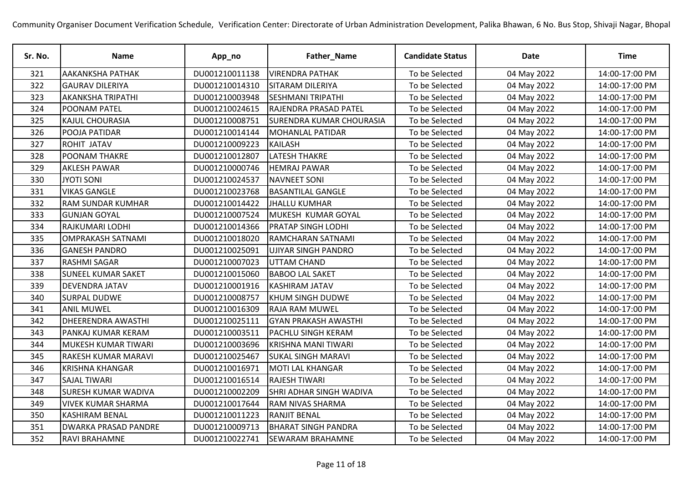| Sr. No. | <b>Name</b>                | App_no         | Father_Name                     | <b>Candidate Status</b> | <b>Date</b> | <b>Time</b>    |
|---------|----------------------------|----------------|---------------------------------|-------------------------|-------------|----------------|
| 321     | <b>AAKANKSHA PATHAK</b>    | DU001210011138 | <b>VIRENDRA PATHAK</b>          | To be Selected          | 04 May 2022 | 14:00-17:00 PM |
| 322     | <b>GAURAV DILERIYA</b>     | DU001210014310 | <b>SITARAM DILERIYA</b>         | To be Selected          | 04 May 2022 | 14:00-17:00 PM |
| 323     | <b>AKANKSHA TRIPATHI</b>   | DU001210003948 | <b>SESHMANI TRIPATHI</b>        | To be Selected          | 04 May 2022 | 14:00-17:00 PM |
| 324     | POONAM PATEL               | DU001210024615 | <b>RAJENDRA PRASAD PATEL</b>    | To be Selected          | 04 May 2022 | 14:00-17:00 PM |
| 325     | KAJUL CHOURASIA            | DU001210008751 | <b>SURENDRA KUMAR CHOURASIA</b> | To be Selected          | 04 May 2022 | 14:00-17:00 PM |
| 326     | POOJA PATIDAR              | DU001210014144 | <b>MOHANLAL PATIDAR</b>         | To be Selected          | 04 May 2022 | 14:00-17:00 PM |
| 327     | ROHIT JATAV                | DU001210009223 | <b>KAILASH</b>                  | To be Selected          | 04 May 2022 | 14:00-17:00 PM |
| 328     | POONAM THAKRE              | DU001210012807 | <b>LATESH THAKRE</b>            | To be Selected          | 04 May 2022 | 14:00-17:00 PM |
| 329     | <b>AKLESH PAWAR</b>        | DU001210000746 | <b>HEMRAJ PAWAR</b>             | To be Selected          | 04 May 2022 | 14:00-17:00 PM |
| 330     | <b>JYOTI SONI</b>          | DU001210024537 | <b>NAVNEET SONI</b>             | To be Selected          | 04 May 2022 | 14:00-17:00 PM |
| 331     | <b>VIKAS GANGLE</b>        | DU001210023768 | <b>BASANTILAL GANGLE</b>        | To be Selected          | 04 May 2022 | 14:00-17:00 PM |
| 332     | <b>RAM SUNDAR KUMHAR</b>   | DU001210014422 | <b>JHALLU KUMHAR</b>            | To be Selected          | 04 May 2022 | 14:00-17:00 PM |
| 333     | <b>GUNJAN GOYAL</b>        | DU001210007524 | MUKESH KUMAR GOYAL              | To be Selected          | 04 May 2022 | 14:00-17:00 PM |
| 334     | RAJKUMARI LODHI            | DU001210014366 | <b>PRATAP SINGH LODHI</b>       | To be Selected          | 04 May 2022 | 14:00-17:00 PM |
| 335     | <b>OMPRAKASH SATNAMI</b>   | DU001210018020 | RAMCHARAN SATNAMI               | To be Selected          | 04 May 2022 | 14:00-17:00 PM |
| 336     | <b>GANESH PANDRO</b>       | DU001210025091 | <b>UJIYAR SINGH PANDRO</b>      | To be Selected          | 04 May 2022 | 14:00-17:00 PM |
| 337     | <b>RASHMI SAGAR</b>        | DU001210007023 | UTTAM CHAND                     | To be Selected          | 04 May 2022 | 14:00-17:00 PM |
| 338     | <b>SUNEEL KUMAR SAKET</b>  | DU001210015060 | <b>BABOO LAL SAKET</b>          | To be Selected          | 04 May 2022 | 14:00-17:00 PM |
| 339     | DEVENDRA JATAV             | DU001210001916 | <b>KASHIRAM JATAV</b>           | To be Selected          | 04 May 2022 | 14:00-17:00 PM |
| 340     | SURPAL DUDWE               | DU001210008757 | <b>KHUM SINGH DUDWE</b>         | To be Selected          | 04 May 2022 | 14:00-17:00 PM |
| 341     | <b>ANIL MUWEL</b>          | DU001210016309 | <b>RAJA RAM MUWEL</b>           | To be Selected          | 04 May 2022 | 14:00-17:00 PM |
| 342     | <b>DHEERENDRA AWASTHI</b>  | DU001210025111 | <b>GYAN PRAKASH AWASTHI</b>     | To be Selected          | 04 May 2022 | 14:00-17:00 PM |
| 343     | PANKAJ KUMAR KERAM         | DU001210003511 | <b>PACHLU SINGH KERAM</b>       | To be Selected          | 04 May 2022 | 14:00-17:00 PM |
| 344     | MUKESH KUMAR TIWARI        | DU001210003696 | <b>KRISHNA MANI TIWARI</b>      | To be Selected          | 04 May 2022 | 14:00-17:00 PM |
| 345     | RAKESH KUMAR MARAVI        | DU001210025467 | <b>SUKAL SINGH MARAVI</b>       | To be Selected          | 04 May 2022 | 14:00-17:00 PM |
| 346     | <b>KRISHNA KHANGAR</b>     | DU001210016971 | MOTI LAL KHANGAR                | To be Selected          | 04 May 2022 | 14:00-17:00 PM |
| 347     | <b>SAJAL TIWARI</b>        | DU001210016514 | <b>RAJESH TIWARI</b>            | To be Selected          | 04 May 2022 | 14:00-17:00 PM |
| 348     | <b>SURESH KUMAR WADIVA</b> | DU001210002209 | SHRI ADHAR SINGH WADIVA         | To be Selected          | 04 May 2022 | 14:00-17:00 PM |
| 349     | <b>VIVEK KUMAR SHARMA</b>  | DU001210017644 | <b>RAM NIVAS SHARMA</b>         | To be Selected          | 04 May 2022 | 14:00-17:00 PM |
| 350     | <b>KASHIRAM BENAL</b>      | DU001210011223 | <b>RANJIT BENAL</b>             | To be Selected          | 04 May 2022 | 14:00-17:00 PM |
| 351     | DWARKA PRASAD PANDRE       | DU001210009713 | <b>BHARAT SINGH PANDRA</b>      | To be Selected          | 04 May 2022 | 14:00-17:00 PM |
| 352     | RAVI BRAHAMNE              | DU001210022741 | <b>SEWARAM BRAHAMNE</b>         | To be Selected          | 04 May 2022 | 14:00-17:00 PM |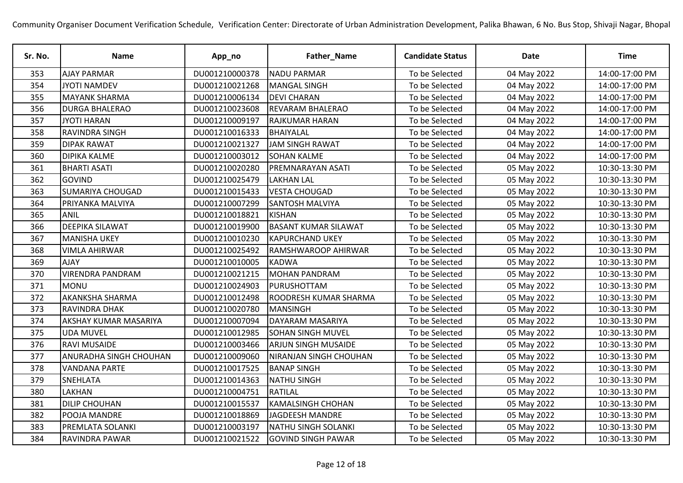| Sr. No. | <b>Name</b>             | App_no         | Father_Name                  | <b>Candidate Status</b> | Date        | Time           |
|---------|-------------------------|----------------|------------------------------|-------------------------|-------------|----------------|
| 353     | <b>AJAY PARMAR</b>      | DU001210000378 | <b>NADU PARMAR</b>           | To be Selected          | 04 May 2022 | 14:00-17:00 PM |
| 354     | <b>JYOTI NAMDEV</b>     | DU001210021268 | <b>MANGAL SINGH</b>          | To be Selected          | 04 May 2022 | 14:00-17:00 PM |
| 355     | <b>MAYANK SHARMA</b>    | DU001210006134 | <b>DEVI CHARAN</b>           | To be Selected          | 04 May 2022 | 14:00-17:00 PM |
| 356     | <b>DURGA BHALERAO</b>   | DU001210023608 | <b>REVARAM BHALERAO</b>      | To be Selected          | 04 May 2022 | 14:00-17:00 PM |
| 357     | <b>JYOTI HARAN</b>      | DU001210009197 | <b>RAJKUMAR HARAN</b>        | To be Selected          | 04 May 2022 | 14:00-17:00 PM |
| 358     | RAVINDRA SINGH          | DU001210016333 | BHAIYALAL                    | To be Selected          | 04 May 2022 | 14:00-17:00 PM |
| 359     | <b>DIPAK RAWAT</b>      | DU001210021327 | <b>JAM SINGH RAWAT</b>       | To be Selected          | 04 May 2022 | 14:00-17:00 PM |
| 360     | <b>DIPIKA KALME</b>     | DU001210003012 | <b>SOHAN KALME</b>           | To be Selected          | 04 May 2022 | 14:00-17:00 PM |
| 361     | <b>BHARTI ASATI</b>     | DU001210020280 | <b>PREMNARAYAN ASATI</b>     | To be Selected          | 05 May 2022 | 10:30-13:30 PM |
| 362     | <b>GOVIND</b>           | DU001210025479 | <b>LAKHAN LAL</b>            | To be Selected          | 05 May 2022 | 10:30-13:30 PM |
| 363     | <b>SUMARIYA CHOUGAD</b> | DU001210015433 | <b>VESTA CHOUGAD</b>         | To be Selected          | 05 May 2022 | 10:30-13:30 PM |
| 364     | PRIYANKA MALVIYA        | DU001210007299 | <b>SANTOSH MALVIYA</b>       | To be Selected          | 05 May 2022 | 10:30-13:30 PM |
| 365     | <b>ANIL</b>             | DU001210018821 | <b>KISHAN</b>                | To be Selected          | 05 May 2022 | 10:30-13:30 PM |
| 366     | <b>DEEPIKA SILAWAT</b>  | DU001210019900 | <b>BASANT KUMAR SILAWAT</b>  | To be Selected          | 05 May 2022 | 10:30-13:30 PM |
| 367     | <b>MANISHA UKEY</b>     | DU001210010230 | <b>KAPURCHAND UKEY</b>       | To be Selected          | 05 May 2022 | 10:30-13:30 PM |
| 368     | <b>VIMLA AHIRWAR</b>    | DU001210025492 | <b>RAMSHWAROOP AHIRWAR</b>   | To be Selected          | 05 May 2022 | 10:30-13:30 PM |
| 369     | <b>AJAY</b>             | DU001210010005 | <b>KADWA</b>                 | To be Selected          | 05 May 2022 | 10:30-13:30 PM |
| 370     | <b>VIRENDRA PANDRAM</b> | DU001210021215 | <b>MOHAN PANDRAM</b>         | To be Selected          | 05 May 2022 | 10:30-13:30 PM |
| 371     | <b>MONU</b>             | DU001210024903 | PURUSHOTTAM                  | To be Selected          | 05 May 2022 | 10:30-13:30 PM |
| 372     | <b>AKANKSHA SHARMA</b>  | DU001210012498 | <b>ROODRESH KUMAR SHARMA</b> | To be Selected          | 05 May 2022 | 10:30-13:30 PM |
| 373     | RAVINDRA DHAK           | DU001210020780 | MANSINGH                     | To be Selected          | 05 May 2022 | 10:30-13:30 PM |
| 374     | AKSHAY KUMAR MASARIYA   | DU001210007094 | DAYARAM MASARIYA             | To be Selected          | 05 May 2022 | 10:30-13:30 PM |
| 375     | <b>UDA MUVEL</b>        | DU001210012985 | <b>SOHAN SINGH MUVEL</b>     | To be Selected          | 05 May 2022 | 10:30-13:30 PM |
| 376     | <b>RAVI MUSAIDE</b>     | DU001210003466 | <b>ARJUN SINGH MUSAIDE</b>   | To be Selected          | 05 May 2022 | 10:30-13:30 PM |
| 377     | ANURADHA SINGH CHOUHAN  | DU001210009060 | NIRANJAN SINGH CHOUHAN       | To be Selected          | 05 May 2022 | 10:30-13:30 PM |
| 378     | <b>VANDANA PARTE</b>    | DU001210017525 | <b>BANAP SINGH</b>           | To be Selected          | 05 May 2022 | 10:30-13:30 PM |
| 379     | SNEHLATA                | DU001210014363 | <b>NATHU SINGH</b>           | To be Selected          | 05 May 2022 | 10:30-13:30 PM |
| 380     | LAKHAN                  | DU001210004751 | RATILAL                      | To be Selected          | 05 May 2022 | 10:30-13:30 PM |
| 381     | <b>DILIP CHOUHAN</b>    | DU001210015537 | <b>KAMALSINGH CHOHAN</b>     | To be Selected          | 05 May 2022 | 10:30-13:30 PM |
| 382     | POOJA MANDRE            | DU001210018869 | JAGDEESH MANDRE              | To be Selected          | 05 May 2022 | 10:30-13:30 PM |
| 383     | PREMLATA SOLANKI        | DU001210003197 | <b>NATHU SINGH SOLANKI</b>   | To be Selected          | 05 May 2022 | 10:30-13:30 PM |
| 384     | RAVINDRA PAWAR          | DU001210021522 | <b>GOVIND SINGH PAWAR</b>    | To be Selected          | 05 May 2022 | 10:30-13:30 PM |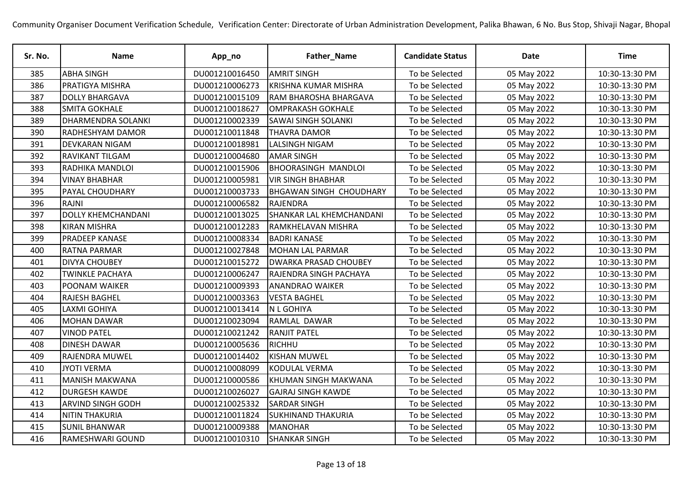| Sr. No. | Name                      | App_no         | Father_Name                     | <b>Candidate Status</b> | <b>Date</b> | <b>Time</b>    |
|---------|---------------------------|----------------|---------------------------------|-------------------------|-------------|----------------|
| 385     | <b>ABHA SINGH</b>         | DU001210016450 | <b>AMRIT SINGH</b>              | To be Selected          | 05 May 2022 | 10:30-13:30 PM |
| 386     | PRATIGYA MISHRA           | DU001210006273 | <b>KRISHNA KUMAR MISHRA</b>     | To be Selected          | 05 May 2022 | 10:30-13:30 PM |
| 387     | <b>DOLLY BHARGAVA</b>     | DU001210015109 | RAM BHAROSHA BHARGAVA           | To be Selected          | 05 May 2022 | 10:30-13:30 PM |
| 388     | <b>SMITA GOKHALE</b>      | DU001210018627 | <b>OMPRAKASH GOKHALE</b>        | To be Selected          | 05 May 2022 | 10:30-13:30 PM |
| 389     | <b>DHARMENDRA SOLANKI</b> | DU001210002339 | <b>SAWAI SINGH SOLANKI</b>      | To be Selected          | 05 May 2022 | 10:30-13:30 PM |
| 390     | RADHESHYAM DAMOR          | DU001210011848 | THAVRA DAMOR                    | To be Selected          | 05 May 2022 | 10:30-13:30 PM |
| 391     | DEVKARAN NIGAM            | DU001210018981 | <b>LALSINGH NIGAM</b>           | To be Selected          | 05 May 2022 | 10:30-13:30 PM |
| 392     | RAVIKANT TILGAM           | DU001210004680 | <b>AMAR SINGH</b>               | To be Selected          | 05 May 2022 | 10:30-13:30 PM |
| 393     | RADHIKA MANDLOI           | DU001210015906 | <b>BHOORASINGH MANDLOI</b>      | To be Selected          | 05 May 2022 | 10:30-13:30 PM |
| 394     | <b>VINAY BHABHAR</b>      | DU001210005981 | <b>VIR SINGH BHABHAR</b>        | To be Selected          | 05 May 2022 | 10:30-13:30 PM |
| 395     | PAYAL CHOUDHARY           | DU001210003733 | <b>BHGAWAN SINGH CHOUDHARY</b>  | To be Selected          | 05 May 2022 | 10:30-13:30 PM |
| 396     | <b>RAJNI</b>              | DU001210006582 | RAJENDRA                        | To be Selected          | 05 May 2022 | 10:30-13:30 PM |
| 397     | <b>DOLLY KHEMCHANDANI</b> | DU001210013025 | <b>SHANKAR LAL KHEMCHANDANI</b> | To be Selected          | 05 May 2022 | 10:30-13:30 PM |
| 398     | <b>KIRAN MISHRA</b>       | DU001210012283 | RAMKHELAVAN MISHRA              | To be Selected          | 05 May 2022 | 10:30-13:30 PM |
| 399     | PRADEEP KANASE            | DU001210008334 | <b>BADRI KANASE</b>             | To be Selected          | 05 May 2022 | 10:30-13:30 PM |
| 400     | RATNA PARMAR              | DU001210027848 | <b>MOHAN LAL PARMAR</b>         | To be Selected          | 05 May 2022 | 10:30-13:30 PM |
| 401     | <b>DIVYA CHOUBEY</b>      | DU001210015272 | <b>DWARKA PRASAD CHOUBEY</b>    | To be Selected          | 05 May 2022 | 10:30-13:30 PM |
| 402     | <b>TWINKLE PACHAYA</b>    | DU001210006247 | RAJENDRA SINGH PACHAYA          | To be Selected          | 05 May 2022 | 10:30-13:30 PM |
| 403     | POONAM WAIKER             | DU001210009393 | <b>ANANDRAO WAIKER</b>          | To be Selected          | 05 May 2022 | 10:30-13:30 PM |
| 404     | RAJESH BAGHEL             | DU001210003363 | <b>VESTA BAGHEL</b>             | To be Selected          | 05 May 2022 | 10:30-13:30 PM |
| 405     | <b>LAXMI GOHIYA</b>       | DU001210013414 | <b>N L GOHIYA</b>               | To be Selected          | 05 May 2022 | 10:30-13:30 PM |
| 406     | <b>MOHAN DAWAR</b>        | DU001210023094 | RAMLAL DAWAR                    | To be Selected          | 05 May 2022 | 10:30-13:30 PM |
| 407     | <b>VINOD PATEL</b>        | DU001210021242 | <b>RANJIT PATEL</b>             | To be Selected          | 05 May 2022 | 10:30-13:30 PM |
| 408     | <b>DINESH DAWAR</b>       | DU001210005636 | RICHHU                          | To be Selected          | 05 May 2022 | 10:30-13:30 PM |
| 409     | RAJENDRA MUWEL            | DU001210014402 | <b>KISHAN MUWEL</b>             | To be Selected          | 05 May 2022 | 10:30-13:30 PM |
| 410     | <b>JYOTI VERMA</b>        | DU001210008099 | KODULAL VERMA                   | To be Selected          | 05 May 2022 | 10:30-13:30 PM |
| 411     | <b>MANISH MAKWANA</b>     | DU001210000586 | KHUMAN SINGH MAKWANA            | To be Selected          | 05 May 2022 | 10:30-13:30 PM |
| 412     | <b>DURGESH KAWDE</b>      | DU001210026027 | <b>GAJRAJ SINGH KAWDE</b>       | To be Selected          | 05 May 2022 | 10:30-13:30 PM |
| 413     | ARVIND SINGH GODH         | DU001210025332 | <b>SARDAR SINGH</b>             | To be Selected          | 05 May 2022 | 10:30-13:30 PM |
| 414     | NITIN THAKURIA            | DU001210011824 | <b>SUKHINAND THAKURIA</b>       | To be Selected          | 05 May 2022 | 10:30-13:30 PM |
| 415     | <b>SUNIL BHANWAR</b>      | DU001210009388 | <b>MANOHAR</b>                  | To be Selected          | 05 May 2022 | 10:30-13:30 PM |
| 416     | RAMESHWARI GOUND          | DU001210010310 | <b>SHANKAR SINGH</b>            | To be Selected          | 05 May 2022 | 10:30-13:30 PM |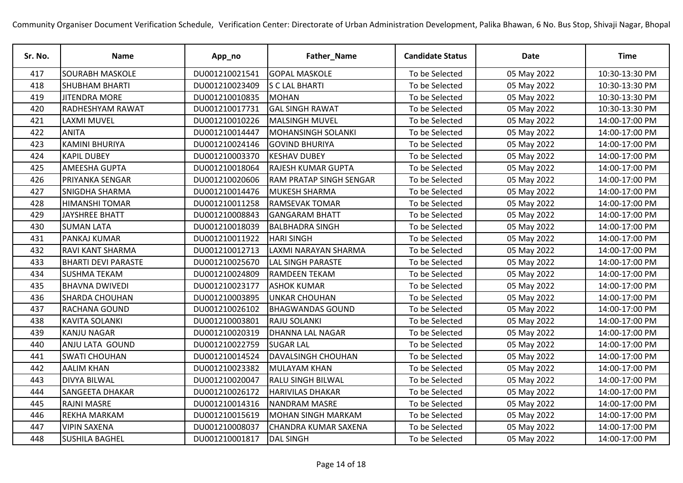| Sr. No. | <b>Name</b>                | App_no         | Father_Name                    | <b>Candidate Status</b> | Date        | Time           |
|---------|----------------------------|----------------|--------------------------------|-------------------------|-------------|----------------|
| 417     | <b>SOURABH MASKOLE</b>     | DU001210021541 | <b>GOPAL MASKOLE</b>           | To be Selected          | 05 May 2022 | 10:30-13:30 PM |
| 418     | <b>SHUBHAM BHARTI</b>      | DU001210023409 | <b>S C LAL BHARTI</b>          | To be Selected          | 05 May 2022 | 10:30-13:30 PM |
| 419     | <b>JITENDRA MORE</b>       | DU001210010835 | <b>MOHAN</b>                   | To be Selected          | 05 May 2022 | 10:30-13:30 PM |
| 420     | RADHESHYAM RAWAT           | DU001210017731 | <b>GAL SINGH RAWAT</b>         | To be Selected          | 05 May 2022 | 10:30-13:30 PM |
| 421     | <b>LAXMI MUVEL</b>         | DU001210010226 | <b>MALSINGH MUVEL</b>          | To be Selected          | 05 May 2022 | 14:00-17:00 PM |
| 422     | <b>ANITA</b>               | DU001210014447 | MOHANSINGH SOLANKI             | To be Selected          | 05 May 2022 | 14:00-17:00 PM |
| 423     | <b>KAMINI BHURIYA</b>      | DU001210024146 | <b>GOVIND BHURIYA</b>          | To be Selected          | 05 May 2022 | 14:00-17:00 PM |
| 424     | <b>KAPIL DUBEY</b>         | DU001210003370 | <b>KESHAV DUBEY</b>            | To be Selected          | 05 May 2022 | 14:00-17:00 PM |
| 425     | <b>AMEESHA GUPTA</b>       | DU001210018064 | <b>RAJESH KUMAR GUPTA</b>      | To be Selected          | 05 May 2022 | 14:00-17:00 PM |
| 426     | PRIYANKA SENGAR            | DU001210020606 | <b>RAM PRATAP SINGH SENGAR</b> | To be Selected          | 05 May 2022 | 14:00-17:00 PM |
| 427     | SNIGDHA SHARMA             | DU001210014476 | <b>MUKESH SHARMA</b>           | To be Selected          | 05 May 2022 | 14:00-17:00 PM |
| 428     | <b>HIMANSHI TOMAR</b>      | DU001210011258 | <b>RAMSEVAK TOMAR</b>          | To be Selected          | 05 May 2022 | 14:00-17:00 PM |
| 429     | <b>JAYSHREE BHATT</b>      | DU001210008843 | <b>GANGARAM BHATT</b>          | To be Selected          | 05 May 2022 | 14:00-17:00 PM |
| 430     | <b>SUMAN LATA</b>          | DU001210018039 | <b>BALBHADRA SINGH</b>         | To be Selected          | 05 May 2022 | 14:00-17:00 PM |
| 431     | <b>PANKAJ KUMAR</b>        | DU001210011922 | <b>HARI SINGH</b>              | To be Selected          | 05 May 2022 | 14:00-17:00 PM |
| 432     | RAVI KANT SHARMA           | DU001210012713 | LAXMI NARAYAN SHARMA           | To be Selected          | 05 May 2022 | 14:00-17:00 PM |
| 433     | <b>BHARTI DEVI PARASTE</b> | DU001210025670 | <b>LAL SINGH PARASTE</b>       | To be Selected          | 05 May 2022 | 14:00-17:00 PM |
| 434     | <b>SUSHMA TEKAM</b>        | DU001210024809 | <b>RAMDEEN TEKAM</b>           | To be Selected          | 05 May 2022 | 14:00-17:00 PM |
| 435     | <b>BHAVNA DWIVEDI</b>      | DU001210023177 | <b>ASHOK KUMAR</b>             | To be Selected          | 05 May 2022 | 14:00-17:00 PM |
| 436     | <b>SHARDA CHOUHAN</b>      | DU001210003895 | <b>UNKAR CHOUHAN</b>           | To be Selected          | 05 May 2022 | 14:00-17:00 PM |
| 437     | RACHANA GOUND              | DU001210026102 | <b>BHAGWANDAS GOUND</b>        | To be Selected          | 05 May 2022 | 14:00-17:00 PM |
| 438     | <b>KAVITA SOLANKI</b>      | DU001210003801 | <b>RAJU SOLANKI</b>            | To be Selected          | 05 May 2022 | 14:00-17:00 PM |
| 439     | <b>KANJU NAGAR</b>         | DU001210020319 | <b>DHANNA LAL NAGAR</b>        | To be Selected          | 05 May 2022 | 14:00-17:00 PM |
| 440     | ANJU LATA GOUND            | DU001210022759 | <b>SUGAR LAL</b>               | To be Selected          | 05 May 2022 | 14:00-17:00 PM |
| 441     | <b>SWATI CHOUHAN</b>       | DU001210014524 | <b>DAVALSINGH CHOUHAN</b>      | To be Selected          | 05 May 2022 | 14:00-17:00 PM |
| 442     | <b>AALIM KHAN</b>          | DU001210023382 | <b>MULAYAM KHAN</b>            | To be Selected          | 05 May 2022 | 14:00-17:00 PM |
| 443     | <b>DIVYA BILWAL</b>        | DU001210020047 | <b>RALU SINGH BILWAL</b>       | To be Selected          | 05 May 2022 | 14:00-17:00 PM |
| 444     | <b>SANGEETA DHAKAR</b>     | DU001210026172 | <b>HARIVILAS DHAKAR</b>        | To be Selected          | 05 May 2022 | 14:00-17:00 PM |
| 445     | <b>RAJNI MASRE</b>         | DU001210014316 | <b>NANDRAM MASRE</b>           | To be Selected          | 05 May 2022 | 14:00-17:00 PM |
| 446     | REKHA MARKAM               | DU001210015619 | MOHAN SINGH MARKAM             | To be Selected          | 05 May 2022 | 14:00-17:00 PM |
| 447     | <b>VIPIN SAXENA</b>        | DU001210008037 | CHANDRA KUMAR SAXENA           | To be Selected          | 05 May 2022 | 14:00-17:00 PM |
| 448     | <b>SUSHILA BAGHEL</b>      | DU001210001817 | <b>DAL SINGH</b>               | To be Selected          | 05 May 2022 | 14:00-17:00 PM |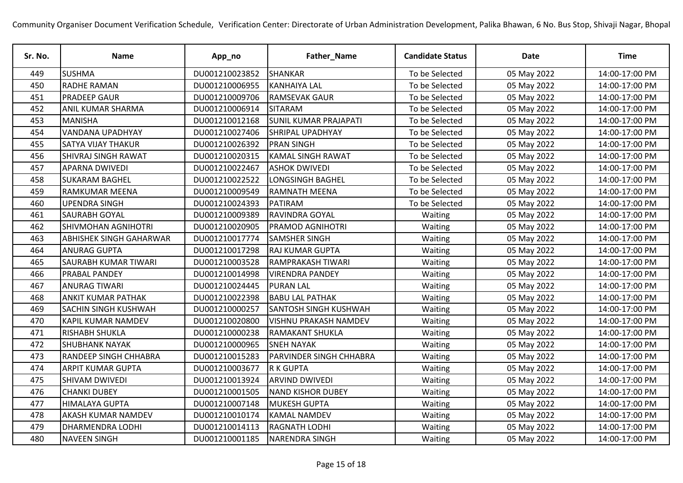| Sr. No. | <b>Name</b>                    | App_no         | Father_Name                    | <b>Candidate Status</b> | Date        | Time           |
|---------|--------------------------------|----------------|--------------------------------|-------------------------|-------------|----------------|
| 449     | <b>SUSHMA</b>                  | DU001210023852 | <b>SHANKAR</b>                 | To be Selected          | 05 May 2022 | 14:00-17:00 PM |
| 450     | <b>RADHE RAMAN</b>             | DU001210006955 | <b>KANHAIYA LAL</b>            | To be Selected          | 05 May 2022 | 14:00-17:00 PM |
| 451     | <b>PRADEEP GAUR</b>            | DU001210009706 | <b>RAMSEVAK GAUR</b>           | To be Selected          | 05 May 2022 | 14:00-17:00 PM |
| 452     | ANIL KUMAR SHARMA              | DU001210006914 | <b>SITARAM</b>                 | To be Selected          | 05 May 2022 | 14:00-17:00 PM |
| 453     | <b>MANISHA</b>                 | DU001210012168 | <b>SUNIL KUMAR PRAJAPATI</b>   | To be Selected          | 05 May 2022 | 14:00-17:00 PM |
| 454     | <b>VANDANA UPADHYAY</b>        | DU001210027406 | <b>SHRIPAL UPADHYAY</b>        | To be Selected          | 05 May 2022 | 14:00-17:00 PM |
| 455     | <b>SATYA VIJAY THAKUR</b>      | DU001210026392 | <b>PRAN SINGH</b>              | To be Selected          | 05 May 2022 | 14:00-17:00 PM |
| 456     | <b>SHIVRAJ SINGH RAWAT</b>     | DU001210020315 | <b>KAMAL SINGH RAWAT</b>       | To be Selected          | 05 May 2022 | 14:00-17:00 PM |
| 457     | <b>APARNA DWIVEDI</b>          | DU001210022467 | lashok dwivedi                 | To be Selected          | 05 May 2022 | 14:00-17:00 PM |
| 458     | <b>SUKARAM BAGHEL</b>          | DU001210022522 | <b>LONGSINGH BAGHEL</b>        | To be Selected          | 05 May 2022 | 14:00-17:00 PM |
| 459     | RAMKUMAR MEENA                 | DU001210009549 | <b>RAMNATH MEENA</b>           | To be Selected          | 05 May 2022 | 14:00-17:00 PM |
| 460     | <b>UPENDRA SINGH</b>           | DU001210024393 | PATIRAM                        | To be Selected          | 05 May 2022 | 14:00-17:00 PM |
| 461     | <b>SAURABH GOYAL</b>           | DU001210009389 | <b>RAVINDRA GOYAL</b>          | Waiting                 | 05 May 2022 | 14:00-17:00 PM |
| 462     | SHIVMOHAN AGNIHOTRI            | DU001210020905 | <b>PRAMOD AGNIHOTRI</b>        | Waiting                 | 05 May 2022 | 14:00-17:00 PM |
| 463     | <b>ABHISHEK SINGH GAHARWAR</b> | DU001210017774 | <b>SAMSHER SINGH</b>           | Waiting                 | 05 May 2022 | 14:00-17:00 PM |
| 464     | <b>ANURAG GUPTA</b>            | DU001210017298 | <b>RAJ KUMAR GUPTA</b>         | Waiting                 | 05 May 2022 | 14:00-17:00 PM |
| 465     | <b>SAURABH KUMAR TIWARI</b>    | DU001210003528 | <b>RAMPRAKASH TIWARI</b>       | Waiting                 | 05 May 2022 | 14:00-17:00 PM |
| 466     | <b>PRABAL PANDEY</b>           | DU001210014998 | <b>VIRENDRA PANDEY</b>         | Waiting                 | 05 May 2022 | 14:00-17:00 PM |
| 467     | <b>ANURAG TIWARI</b>           | DU001210024445 | <b>PURAN LAL</b>               | Waiting                 | 05 May 2022 | 14:00-17:00 PM |
| 468     | <b>ANKIT KUMAR PATHAK</b>      | DU001210022398 | <b>BABU LAL PATHAK</b>         | Waiting                 | 05 May 2022 | 14:00-17:00 PM |
| 469     | <b>SACHIN SINGH KUSHWAH</b>    | DU001210000257 | <b>SANTOSH SINGH KUSHWAH</b>   | Waiting                 | 05 May 2022 | 14:00-17:00 PM |
| 470     | KAPIL KUMAR NAMDEV             | DU001210020800 | <b>VISHNU PRAKASH NAMDEV</b>   | Waiting                 | 05 May 2022 | 14:00-17:00 PM |
| 471     | <b>RISHABH SHUKLA</b>          | DU001210000238 | <b>RAMAKANT SHUKLA</b>         | Waiting                 | 05 May 2022 | 14:00-17:00 PM |
| 472     | <b>SHUBHANK NAYAK</b>          | DU001210000965 | <b>SNEH NAYAK</b>              | Waiting                 | 05 May 2022 | 14:00-17:00 PM |
| 473     | RANDEEP SINGH CHHABRA          | DU001210015283 | <b>PARVINDER SINGH CHHABRA</b> | Waiting                 | 05 May 2022 | 14:00-17:00 PM |
| 474     | <b>ARPIT KUMAR GUPTA</b>       | DU001210003677 | R K GUPTA                      | Waiting                 | 05 May 2022 | 14:00-17:00 PM |
| 475     | <b>SHIVAM DWIVEDI</b>          | DU001210013924 | <b>ARVIND DWIVEDI</b>          | Waiting                 | 05 May 2022 | 14:00-17:00 PM |
| 476     | <b>CHANKI DUBEY</b>            | DU001210001505 | <b>NAND KISHOR DUBEY</b>       | Waiting                 | 05 May 2022 | 14:00-17:00 PM |
| 477     | <b>HIMALAYA GUPTA</b>          | DU001210007148 | <b>MUKESH GUPTA</b>            | Waiting                 | 05 May 2022 | 14:00-17:00 PM |
| 478     | AKASH KUMAR NAMDEV             | DU001210010174 | <b>KAMAL NAMDEV</b>            | Waiting                 | 05 May 2022 | 14:00-17:00 PM |
| 479     | DHARMENDRA LODHI               | DU001210014113 | <b>RAGNATH LODHI</b>           | Waiting                 | 05 May 2022 | 14:00-17:00 PM |
| 480     | <b>NAVEEN SINGH</b>            | DU001210001185 | <b>NARENDRA SINGH</b>          | Waiting                 | 05 May 2022 | 14:00-17:00 PM |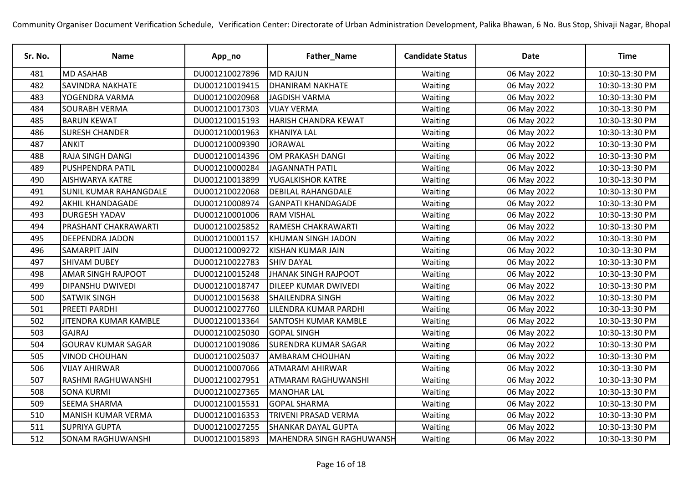| Sr. No. | Name                          | App_no         | Father_Name                 | <b>Candidate Status</b> | <b>Date</b> | <b>Time</b>    |
|---------|-------------------------------|----------------|-----------------------------|-------------------------|-------------|----------------|
| 481     | <b>MD ASAHAB</b>              | DU001210027896 | <b>MD RAJUN</b>             | Waiting                 | 06 May 2022 | 10:30-13:30 PM |
| 482     | <b>SAVINDRA NAKHATE</b>       | DU001210019415 | <b>DHANIRAM NAKHATE</b>     | Waiting                 | 06 May 2022 | 10:30-13:30 PM |
| 483     | YOGENDRA VARMA                | DU001210020968 | JAGDISH VARMA               | Waiting                 | 06 May 2022 | 10:30-13:30 PM |
| 484     | <b>SOURABH VERMA</b>          | DU001210017303 | <b>VIJAY VERMA</b>          | Waiting                 | 06 May 2022 | 10:30-13:30 PM |
| 485     | <b>BARUN KEWAT</b>            | DU001210015193 | HARISH CHANDRA KEWAT        | Waiting                 | 06 May 2022 | 10:30-13:30 PM |
| 486     | <b>SURESH CHANDER</b>         | DU001210001963 | <b>KHANIYA LAL</b>          | Waiting                 | 06 May 2022 | 10:30-13:30 PM |
| 487     | <b>ANKIT</b>                  | DU001210009390 | <b>JORAWAL</b>              | Waiting                 | 06 May 2022 | 10:30-13:30 PM |
| 488     | RAJA SINGH DANGI              | DU001210014396 | OM PRAKASH DANGI            | Waiting                 | 06 May 2022 | 10:30-13:30 PM |
| 489     | <b>PUSHPENDRA PATIL</b>       | DU001210000284 | <b>JAGANNATH PATIL</b>      | Waiting                 | 06 May 2022 | 10:30-13:30 PM |
| 490     | <b>AISHWARYA KATRE</b>        | DU001210013899 | YUGALKISHOR KATRE           | Waiting                 | 06 May 2022 | 10:30-13:30 PM |
| 491     | <b>SUNIL KUMAR RAHANGDALE</b> | DU001210022068 | <b>DEBILAL RAHANGDALE</b>   | Waiting                 | 06 May 2022 | 10:30-13:30 PM |
| 492     | <b>AKHIL KHANDAGADE</b>       | DU001210008974 | <b>GANPATI KHANDAGADE</b>   | Waiting                 | 06 May 2022 | 10:30-13:30 PM |
| 493     | <b>DURGESH YADAV</b>          | DU001210001006 | <b>RAM VISHAL</b>           | Waiting                 | 06 May 2022 | 10:30-13:30 PM |
| 494     | PRASHANT CHAKRAWARTI          | DU001210025852 | <b>RAMESH CHAKRAWARTI</b>   | Waiting                 | 06 May 2022 | 10:30-13:30 PM |
| 495     | <b>DEEPENDRA JADON</b>        | DU001210001157 | KHUMAN SINGH JADON          | Waiting                 | 06 May 2022 | 10:30-13:30 PM |
| 496     | <b>SAMARPIT JAIN</b>          | DU001210009272 | <b>KISHAN KUMAR JAIN</b>    | Waiting                 | 06 May 2022 | 10:30-13:30 PM |
| 497     | <b>SHIVAM DUBEY</b>           | DU001210022783 | <b>SHIV DAYAL</b>           | Waiting                 | 06 May 2022 | 10:30-13:30 PM |
| 498     | <b>AMAR SINGH RAJPOOT</b>     | DU001210015248 | JHANAK SINGH RAJPOOT        | Waiting                 | 06 May 2022 | 10:30-13:30 PM |
| 499     | <b>DIPANSHU DWIVEDI</b>       | DU001210018747 | <b>DILEEP KUMAR DWIVEDI</b> | Waiting                 | 06 May 2022 | 10:30-13:30 PM |
| 500     | <b>SATWIK SINGH</b>           | DU001210015638 | <b>SHAILENDRA SINGH</b>     | Waiting                 | 06 May 2022 | 10:30-13:30 PM |
| 501     | <b>PREETI PARDHI</b>          | DU001210027760 | LILENDRA KUMAR PARDHI       | Waiting                 | 06 May 2022 | 10:30-13:30 PM |
| 502     | JITENDRA KUMAR KAMBLE         | DU001210013364 | <b>SANTOSH KUMAR KAMBLE</b> | Waiting                 | 06 May 2022 | 10:30-13:30 PM |
| 503     | <b>GAJRAJ</b>                 | DU001210025030 | <b>GOPAL SINGH</b>          | Waiting                 | 06 May 2022 | 10:30-13:30 PM |
| 504     | <b>GOURAV KUMAR SAGAR</b>     | DU001210019086 | <b>SURENDRA KUMAR SAGAR</b> | Waiting                 | 06 May 2022 | 10:30-13:30 PM |
| 505     | <b>VINOD CHOUHAN</b>          | DU001210025037 | <b>AMBARAM CHOUHAN</b>      | Waiting                 | 06 May 2022 | 10:30-13:30 PM |
| 506     | <b>VIJAY AHIRWAR</b>          | DU001210007066 | <b>ATMARAM AHIRWAR</b>      | Waiting                 | 06 May 2022 | 10:30-13:30 PM |
| 507     | RASHMI RAGHUWANSHI            | DU001210027951 | <b>ATMARAM RAGHUWANSHI</b>  | Waiting                 | 06 May 2022 | 10:30-13:30 PM |
| 508     | <b>SONA KURMI</b>             | DU001210027365 | <b>MANOHAR LAL</b>          | Waiting                 | 06 May 2022 | 10:30-13:30 PM |
| 509     | SEEMA SHARMA                  | DU001210015531 | <b>GOPAL SHARMA</b>         | Waiting                 | 06 May 2022 | 10:30-13:30 PM |
| 510     | <b>MANISH KUMAR VERMA</b>     | DU001210016353 | <b>TRIVENI PRASAD VERMA</b> | Waiting                 | 06 May 2022 | 10:30-13:30 PM |
| 511     | <b>SUPRIYA GUPTA</b>          | DU001210027255 | <b>SHANKAR DAYAL GUPTA</b>  | Waiting                 | 06 May 2022 | 10:30-13:30 PM |
| 512     | <b>SONAM RAGHUWANSHI</b>      | DU001210015893 | MAHENDRA SINGH RAGHUWANSH   | Waiting                 | 06 May 2022 | 10:30-13:30 PM |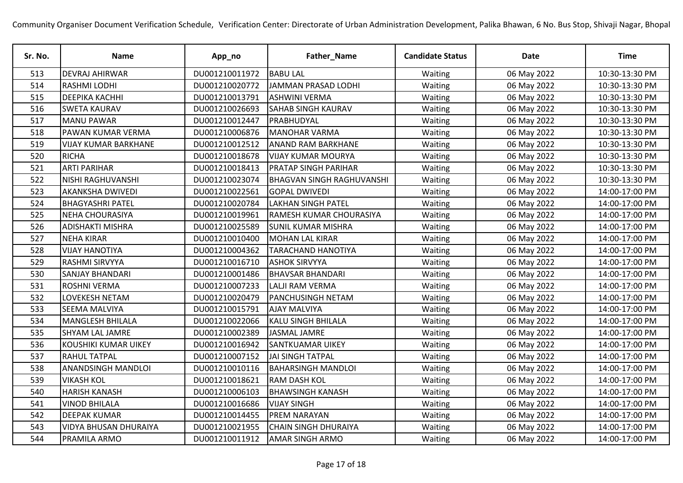| Sr. No. | <b>Name</b>                  | App_no         | Father_Name                      | <b>Candidate Status</b> | <b>Date</b> | <b>Time</b>    |
|---------|------------------------------|----------------|----------------------------------|-------------------------|-------------|----------------|
| 513     | <b>DEVRAJ AHIRWAR</b>        | DU001210011972 | <b>BABU LAL</b>                  | Waiting                 | 06 May 2022 | 10:30-13:30 PM |
| 514     | <b>RASHMI LODHI</b>          | DU001210020772 | JAMMAN PRASAD LODHI              | Waiting                 | 06 May 2022 | 10:30-13:30 PM |
| 515     | <b>DEEPIKA KACHHI</b>        | DU001210013791 | <b>ASHWINI VERMA</b>             | Waiting                 | 06 May 2022 | 10:30-13:30 PM |
| 516     | <b>SWETA KAURAV</b>          | DU001210026693 | <b>SAHAB SINGH KAURAV</b>        | Waiting                 | 06 May 2022 | 10:30-13:30 PM |
| 517     | <b>MANU PAWAR</b>            | DU001210012447 | PRABHUDYAL                       | Waiting                 | 06 May 2022 | 10:30-13:30 PM |
| 518     | PAWAN KUMAR VERMA            | DU001210006876 | <b>MANOHAR VARMA</b>             | Waiting                 | 06 May 2022 | 10:30-13:30 PM |
| 519     | <b>VIJAY KUMAR BARKHANE</b>  | DU001210012512 | <b>ANAND RAM BARKHANE</b>        | Waiting                 | 06 May 2022 | 10:30-13:30 PM |
| 520     | <b>RICHA</b>                 | DU001210018678 | <b>VIJAY KUMAR MOURYA</b>        | Waiting                 | 06 May 2022 | 10:30-13:30 PM |
| 521     | <b>ARTI PARIHAR</b>          | DU001210018413 | <b>PRATAP SINGH PARIHAR</b>      | Waiting                 | 06 May 2022 | 10:30-13:30 PM |
| 522     | <b>NISHI RAGHUVANSHI</b>     | DU001210023074 | <b>BHAGVAN SINGH RAGHUVANSHI</b> | Waiting                 | 06 May 2022 | 10:30-13:30 PM |
| 523     | <b>AKANKSHA DWIVEDI</b>      | DU001210022561 | <b>GOPAL DWIVEDI</b>             | Waiting                 | 06 May 2022 | 14:00-17:00 PM |
| 524     | <b>BHAGYASHRI PATEL</b>      | DU001210020784 | <b>LAKHAN SINGH PATEL</b>        | Waiting                 | 06 May 2022 | 14:00-17:00 PM |
| 525     | <b>NEHA CHOURASIYA</b>       | DU001210019961 | RAMESH KUMAR CHOURASIYA          | Waiting                 | 06 May 2022 | 14:00-17:00 PM |
| 526     | <b>ADISHAKTI MISHRA</b>      | DU001210025589 | <b>SUNIL KUMAR MISHRA</b>        | Waiting                 | 06 May 2022 | 14:00-17:00 PM |
| 527     | <b>NEHA KIRAR</b>            | DU001210010400 | <b>MOHAN LAL KIRAR</b>           | Waiting                 | 06 May 2022 | 14:00-17:00 PM |
| 528     | <b>VIJAY HANOTIYA</b>        | DU001210004362 | <b>TARACHAND HANOTIYA</b>        | Waiting                 | 06 May 2022 | 14:00-17:00 PM |
| 529     | <b>RASHMI SIRVYYA</b>        | DU001210016710 | <b>ASHOK SIRVYYA</b>             | Waiting                 | 06 May 2022 | 14:00-17:00 PM |
| 530     | <b>SANJAY BHANDARI</b>       | DU001210001486 | <b>BHAVSAR BHANDARI</b>          | Waiting                 | 06 May 2022 | 14:00-17:00 PM |
| 531     | <b>ROSHNI VERMA</b>          | DU001210007233 | <b>LALJI RAM VERMA</b>           | Waiting                 | 06 May 2022 | 14:00-17:00 PM |
| 532     | LOVEKESH NETAM               | DU001210020479 | <b>PANCHUSINGH NETAM</b>         | Waiting                 | 06 May 2022 | 14:00-17:00 PM |
| 533     | <b>SEEMA MALVIYA</b>         | DU001210015791 | <b>AJAY MALVIYA</b>              | Waiting                 | 06 May 2022 | 14:00-17:00 PM |
| 534     | <b>MANGLESH BHILALA</b>      | DU001210022066 | <b>KALU SINGH BHILALA</b>        | Waiting                 | 06 May 2022 | 14:00-17:00 PM |
| 535     | <b>SHYAM LAL JAMRE</b>       | DU001210002389 | JASMAL JAMRE                     | Waiting                 | 06 May 2022 | 14:00-17:00 PM |
| 536     | KOUSHIKI KUMAR UIKEY         | DU001210016942 | <b>SANTKUAMAR UIKEY</b>          | Waiting                 | 06 May 2022 | 14:00-17:00 PM |
| 537     | <b>RAHUL TATPAL</b>          | DU001210007152 | <b>JAI SINGH TATPAL</b>          | Waiting                 | 06 May 2022 | 14:00-17:00 PM |
| 538     | <b>ANANDSINGH MANDLOI</b>    | DU001210010116 | <b>BAHARSINGH MANDLOI</b>        | Waiting                 | 06 May 2022 | 14:00-17:00 PM |
| 539     | <b>VIKASH KOL</b>            | DU001210018621 | <b>RAM DASH KOL</b>              | Waiting                 | 06 May 2022 | 14:00-17:00 PM |
| 540     | <b>HARISH KANASH</b>         | DU001210006103 | <b>BHAWSINGH KANASH</b>          | Waiting                 | 06 May 2022 | 14:00-17:00 PM |
| 541     | <b>VINOD BHILALA</b>         | DU001210016686 | <b>VIJAY SINGH</b>               | Waiting                 | 06 May 2022 | 14:00-17:00 PM |
| 542     | <b>DEEPAK KUMAR</b>          | DU001210014455 | <b>PREM NARAYAN</b>              | Waiting                 | 06 May 2022 | 14:00-17:00 PM |
| 543     | <b>VIDYA BHUSAN DHURAIYA</b> | DU001210021955 | <b>CHAIN SINGH DHURAIYA</b>      | Waiting                 | 06 May 2022 | 14:00-17:00 PM |
| 544     | PRAMILA ARMO                 | DU001210011912 | AMAR SINGH ARMO                  | Waiting                 | 06 May 2022 | 14:00-17:00 PM |